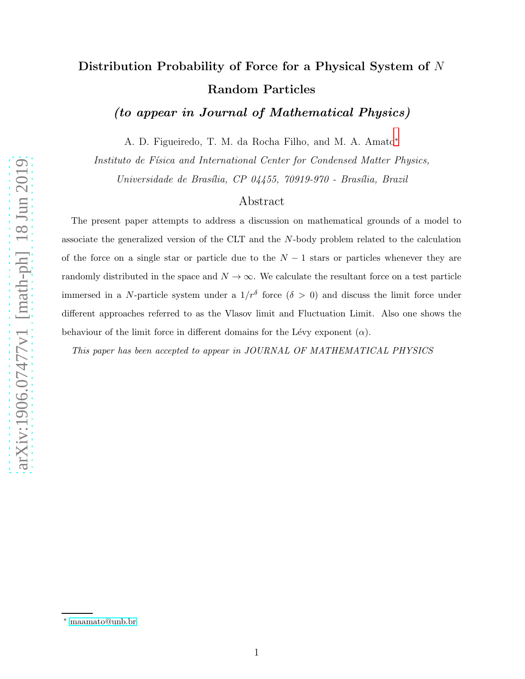# Distribution Probability of Force for a Physical System of N Random Particles

(to appear in Journal of Mathematical Physics)

A. D. Figueiredo, T. M. da Rocha Filho, and M. A. Amato[∗](#page-0-0)

Instituto de Física and International Center for Condensed Matter Physics,

Universidade de Brasília, CP 04455, 70919-970 - Brasília, Brazil

### Abstract

The present paper attempts to address a discussion on mathematical grounds of a model to associate the generalized version of the CLT and the N-body problem related to the calculation of the force on a single star or particle due to the  $N-1$  stars or particles whenever they are randomly distributed in the space and  $N \to \infty$ . We calculate the resultant force on a test particle immersed in a N-particle system under a  $1/r^{\delta}$  force  $(\delta > 0)$  and discuss the limit force under different approaches referred to as the Vlasov limit and Fluctuation Limit. Also one shows the behaviour of the limit force in different domains for the Lévy exponent  $(\alpha)$ .

*This paper has been accepted to appear in JOURNAL OF MATHEMATICAL PHYSICS*

<span id="page-0-0"></span><sup>∗</sup> [maamato@unb.br](mailto:maamato@unb.br)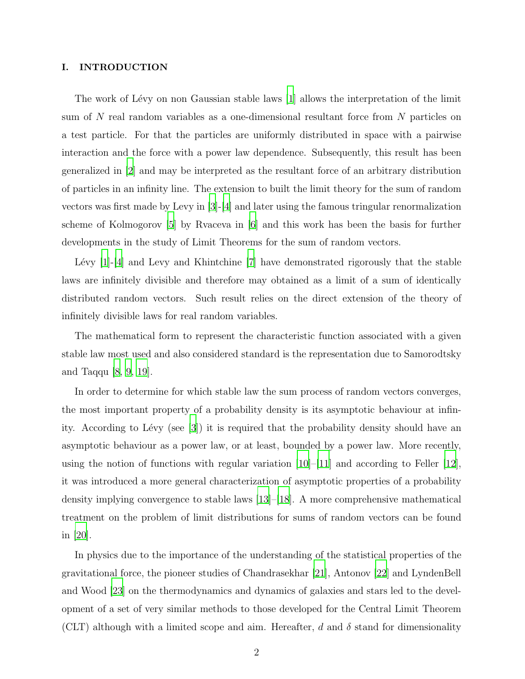#### I. INTRODUCTION

The work of Lévy on non Gaussian stable laws  $[1]$  allows the interpretation of the limit sum of N real random variables as a one-dimensional resultant force from N particles on a test particle. For that the particles are uniformly distributed in space with a pairwise interaction and the force with a power law dependence. Subsequently, this result has been generalized in [\[2](#page-34-1)] and may be interpreted as the resultant force of an arbitrary distribution of particles in an infinity line. The extension to built the limit theory for the sum of random vectors was first made by Levy in [\[3](#page-34-2)]-[\[4\]](#page-34-3) and later using the famous tringular renormalization scheme of Kolmogorov [\[5\]](#page-35-0) by Rvaceva in [\[6](#page-35-1)] and this work has been the basis for further developments in the study of Limit Theorems for the sum of random vectors.

Lévy  $[1]-[4]$  $[1]-[4]$  and Levy and Khintchine  $[7]$  have demonstrated rigorously that the stable laws are infinitely divisible and therefore may obtained as a limit of a sum of identically distributed random vectors. Such result relies on the direct extension of the theory of infinitely divisible laws for real random variables.

The mathematical form to represent the characteristic function associated with a given stable law most used and also considered standard is the representation due to Samorodtsky and Taqqu [\[8,](#page-35-3) [9,](#page-35-4) [19\]](#page-35-5).

In order to determine for which stable law the sum process of random vectors converges, the most important property of a probability density is its asymptotic behaviour at infinity. According to Lévy (see  $|3|$ ) it is required that the probability density should have an asymptotic behaviour as a power law, or at least, bounded by a power law. More recently, using the notion of functions with regular variation  $|10|$ – $|11|$  and according to Feller  $|12|$ , it was introduced a more general characterization of asymptotic properties of a probability density implying convergence to stable laws [\[13](#page-35-9)]–[\[18\]](#page-35-10). A more comprehensive mathematical treatment on the problem of limit distributions for sums of random vectors can be found in [\[20\]](#page-35-11).

In physics due to the importance of the understanding of the statistical properties of the gravitational force, the pioneer studies of Chandrasekhar [\[21\]](#page-36-0), Antonov [\[22](#page-36-1)] and LyndenBell and Wood [\[23](#page-36-2)] on the thermodynamics and dynamics of galaxies and stars led to the development of a set of very similar methods to those developed for the Central Limit Theorem (CLT) although with a limited scope and aim. Hereafter, d and  $\delta$  stand for dimensionality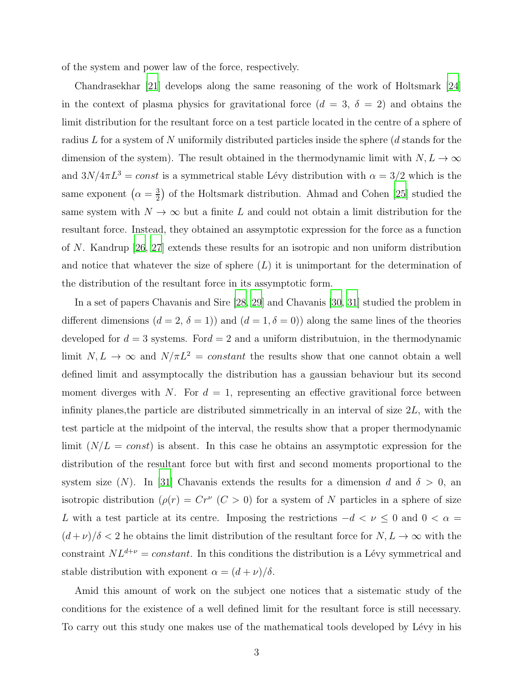of the system and power law of the force, respectively.

Chandrasekhar [\[21](#page-36-0)] develops along the same reasoning of the work of Holtsmark [\[24\]](#page-36-3) in the context of plasma physics for gravitational force  $(d = 3, \delta = 2)$  and obtains the limit distribution for the resultant force on a test particle located in the centre of a sphere of radius L for a system of N uniformily distributed particles inside the sphere (d stands for the dimension of the system). The result obtained in the thermodynamic limit with  $N, L \rightarrow \infty$ and  $3N/4\pi L^3 = const$  is a symmetrical stable Lévy distribution with  $\alpha = 3/2$  which is the same exponent  $\left(\alpha = \frac{3}{2}\right)$  $\frac{3}{2}$ ) of the Holtsmark distribution. Ahmad and Cohen [\[25](#page-36-4)] studied the same system with  $N \to \infty$  but a finite L and could not obtain a limit distribution for the resultant force. Instead, they obtained an assymptotic expression for the force as a function of N. Kandrup [\[26,](#page-36-5) [27\]](#page-36-6) extends these results for an isotropic and non uniform distribution and notice that whatever the size of sphere  $(L)$  it is unimportant for the determination of the distribution of the resultant force in its assymptotic form.

In a set of papers Chavanis and Sire [\[28](#page-36-7), [29](#page-36-8)] and Chavanis [\[30,](#page-36-9) [31\]](#page-36-10) studied the problem in different dimensions  $(d = 2, \delta = 1)$  and  $(d = 1, \delta = 0)$  along the same lines of the theories developed for  $d = 3$  systems. For  $d = 2$  and a uniform distributuion, in the thermodynamic limit  $N, L \rightarrow \infty$  and  $N/\pi L^2 = constant$  the results show that one cannot obtain a well defined limit and assymptocally the distribution has a gaussian behaviour but its second moment diverges with N. For  $d = 1$ , representing an effective gravitional force between infinity planes, the particle are distributed simmetrically in an interval of size  $2L$ , with the test particle at the midpoint of the interval, the results show that a proper thermodynamic limit  $(N/L = const)$  is absent. In this case he obtains an assymptotic expression for the distribution of the resultant force but with first and second moments proportional to the system size (N). In [\[31\]](#page-36-10) Chavanis extends the results for a dimension d and  $\delta > 0$ , an isotropic distribution  $(\rho(r) = Cr^{\nu}(C>0))$  for a system of N particles in a sphere of size L with a test particle at its centre. Imposing the restrictions  $-d < \nu \leq 0$  and  $0 < \alpha =$  $(d+\nu)/\delta < 2$  he obtains the limit distribution of the resultant force for  $N, L \to \infty$  with the constraint  $NL^{d+\nu} = constant$ . In this conditions the distribution is a Lévy symmetrical and stable distribution with exponent  $\alpha = (d + \nu)/\delta$ .

Amid this amount of work on the subject one notices that a sistematic study of the conditions for the existence of a well defined limit for the resultant force is still necessary. To carry out this study one makes use of the mathematical tools developed by Lévy in his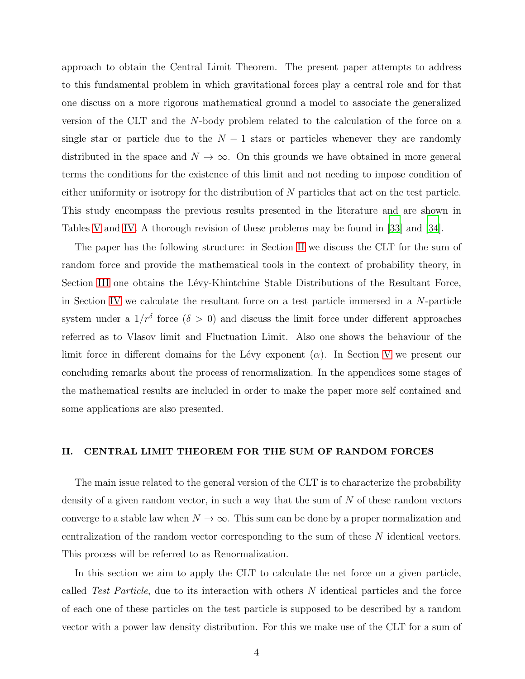approach to obtain the Central Limit Theorem. The present paper attempts to address to this fundamental problem in which gravitational forces play a central role and for that one discuss on a more rigorous mathematical ground a model to associate the generalized version of the CLT and the N-body problem related to the calculation of the force on a single star or particle due to the  $N-1$  stars or particles whenever they are randomly distributed in the space and  $N \to \infty$ . On this grounds we have obtained in more general terms the conditions for the existence of this limit and not needing to impose condition of either uniformity or isotropy for the distribution of  $N$  particles that act on the test particle. This study encompass the previous results presented in the literature and are shown in Tables [V](#page-28-0) and [IV.](#page-24-0) A thorough revision of these problems may be found in [\[33\]](#page-36-11) and [\[34\]](#page-36-12).

The paper has the following structure: in Section [II](#page-3-0) we discuss the CLT for the sum of random force and provide the mathematical tools in the context of probability theory, in Section [III](#page-10-0) one obtains the Lévy-Khintchine Stable Distributions of the Resultant Force, in Section [IV](#page-14-0) we calculate the resultant force on a test particle immersed in a N-particle system under a  $1/r^{\delta}$  force  $(\delta > 0)$  and discuss the limit force under different approaches referred as to Vlasov limit and Fluctuation Limit. Also one shows the behaviour of the limit force in different domains for the Lévy exponent  $(\alpha)$ . In Section [V](#page-25-0) we present our concluding remarks about the process of renormalization. In the appendices some stages of the mathematical results are included in order to make the paper more self contained and some applications are also presented.

#### <span id="page-3-0"></span>II. CENTRAL LIMIT THEOREM FOR THE SUM OF RANDOM FORCES

The main issue related to the general version of the CLT is to characterize the probability density of a given random vector, in such a way that the sum of  $N$  of these random vectors converge to a stable law when  $N \to \infty$ . This sum can be done by a proper normalization and centralization of the random vector corresponding to the sum of these N identical vectors. This process will be referred to as Renormalization.

In this section we aim to apply the CLT to calculate the net force on a given particle, called Test Particle, due to its interaction with others N identical particles and the force of each one of these particles on the test particle is supposed to be described by a random vector with a power law density distribution. For this we make use of the CLT for a sum of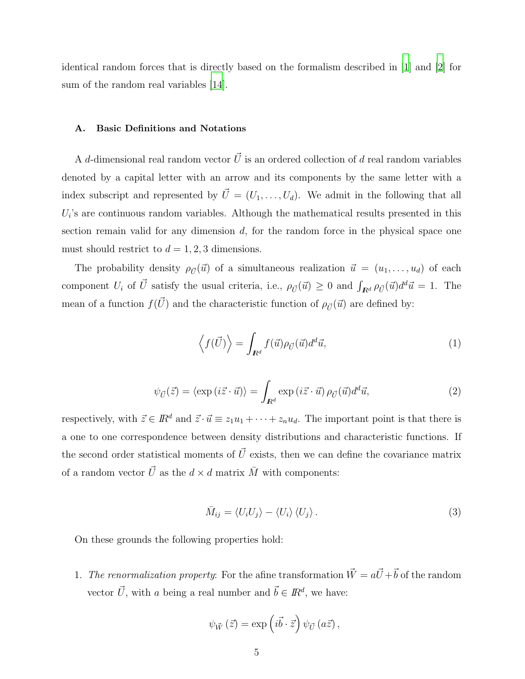identical random forces that is directly based on the formalism described in [\[1\]](#page-34-0) and [\[2\]](#page-34-1) for sum of the random real variables [\[14](#page-35-12)].

#### A. Basic Definitions and Notations

A d-dimensional real random vector  $\vec{U}$  is an ordered collection of d real random variables denoted by a capital letter with an arrow and its components by the same letter with a index subscript and represented by  $\vec{U} = (U_1, \ldots, U_d)$ . We admit in the following that all  $U_i$ 's are continuous random variables. Although the mathematical results presented in this section remain valid for any dimension  $d$ , for the random force in the physical space one must should restrict to  $d = 1, 2, 3$  dimensions.

The probability density  $\rho_{\vec{U}}(\vec{u})$  of a simultaneous realization  $\vec{u} = (u_1, \ldots, u_d)$  of each component  $U_i$  of  $\vec{U}$  satisfy the usual criteria, i.e.,  $\rho_{\vec{U}}(\vec{u}) \geq 0$  and  $\int_{\mathbf{R}^d} \rho_{\vec{U}}(\vec{u}) d^d \vec{u} = 1$ . The mean of a function  $f(\vec{U})$  and the characteristic function of  $\rho_{\vec{U}}(\vec{u})$  are defined by:

$$
\left\langle f(\vec{U}) \right\rangle = \int_{I\!\!R^d} f(\vec{u}) \rho_{\vec{U}}(\vec{u}) d^d \vec{u},\tag{1}
$$

$$
\psi_{\vec{U}}(\vec{z}) = \langle \exp(i\vec{z} \cdot \vec{u}) \rangle = \int_{I\!\!R^d} \exp(i\vec{z} \cdot \vec{u}) \,\rho_{\vec{U}}(\vec{u}) d^d \vec{u},\tag{2}
$$

respectively, with  $\vec{z} \in \mathbb{R}^d$  and  $\vec{z} \cdot \vec{u} \equiv z_1u_1 + \cdots + z_nu_d$ . The important point is that there is a one to one correspondence between density distributions and characteristic functions. If the second order statistical moments of  $\vec{U}$  exists, then we can define the covariance matrix of a random vector  $\vec{U}$  as the  $d \times d$  matrix  $\bar{M}$  with components:

<span id="page-4-0"></span>
$$
\bar{M}_{ij} = \langle U_i U_j \rangle - \langle U_i \rangle \langle U_j \rangle. \tag{3}
$$

On these grounds the following properties hold:

1. The renormalization property: For the afine transformation  $\vec{W} = a\vec{U} + \vec{b}$  of the random vector  $\vec{U}$ , with a being a real number and  $\vec{b} \in I\!\!R^d$ , we have:

$$
\psi_{\vec{W}}(\vec{z}) = \exp\left(i\vec{b}\cdot\vec{z}\right)\psi_{\vec{U}}(a\vec{z}),
$$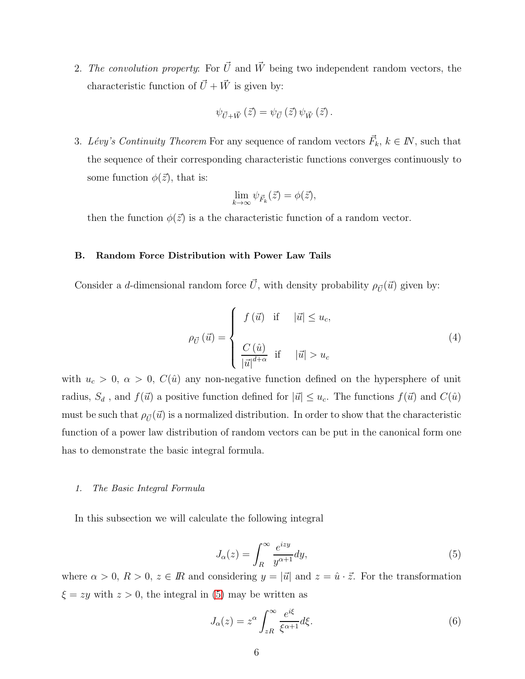2. The convolution property: For  $\vec{U}$  and  $\vec{W}$  being two independent random vectors, the characteristic function of  $\vec{U}+\vec{W}$  is given by:

$$
\psi_{\vec{U}+\vec{W}}(\vec{z}) = \psi_{\vec{U}}(\vec{z}) \psi_{\vec{W}}(\vec{z}).
$$

3. Lévy's Continuity Theorem For any sequence of random vectors  $\vec{F}_k, k \in \mathbb{N}$ , such that the sequence of their corresponding characteristic functions converges continuously to some function  $\phi(\vec{z})$ , that is:

$$
\lim_{k \to \infty} \psi_{\vec{F}_k}(\vec{z}) = \phi(\vec{z}),
$$

then the function  $\phi(\vec{z})$  is a the characteristic function of a random vector.

#### B. Random Force Distribution with Power Law Tails

Consider a d-dimensional random force  $\vec{U}$ , with density probability  $\rho_{\vec{U}}(\vec{u})$  given by:

<span id="page-5-1"></span>
$$
\rho_{\vec{U}}\left(\vec{u}\right) = \begin{cases}\nf\left(\vec{u}\right) & \text{if } \quad |\vec{u}| \le u_c, \\
\frac{C\left(\hat{u}\right)}{\left|\vec{u}\right|^{d+\alpha}} & \text{if } \quad |\vec{u}| > u_c\n\end{cases} \tag{4}
$$

with  $u_c > 0$ ,  $\alpha > 0$ ,  $C(\hat{u})$  any non-negative function defined on the hypersphere of unit radius,  $S_d$ , and  $f(\vec{u})$  a positive function defined for  $|\vec{u}| \leq u_c$ . The functions  $f(\vec{u})$  and  $C(\hat{u})$ must be such that  $\rho_{\vec{U}}(\vec{u})$  is a normalized distribution. In order to show that the characteristic function of a power law distribution of random vectors can be put in the canonical form one has to demonstrate the basic integral formula.

#### *1. The Basic Integral Formula*

In this subsection we will calculate the following integral

<span id="page-5-0"></span>
$$
J_{\alpha}(z) = \int_{R}^{\infty} \frac{e^{izy}}{y^{\alpha+1}} dy,
$$
\n(5)

where  $\alpha > 0$ ,  $R > 0$ ,  $z \in \mathbb{R}$  and considering  $y = |\vec{u}|$  and  $z = \hat{u} \cdot \vec{z}$ . For the transformation  $\xi = zy$  with  $z > 0$ , the integral in [\(5\)](#page-5-0) may be written as

$$
J_{\alpha}(z) = z^{\alpha} \int_{zR}^{\infty} \frac{e^{i\xi}}{\xi^{\alpha+1}} d\xi.
$$
 (6)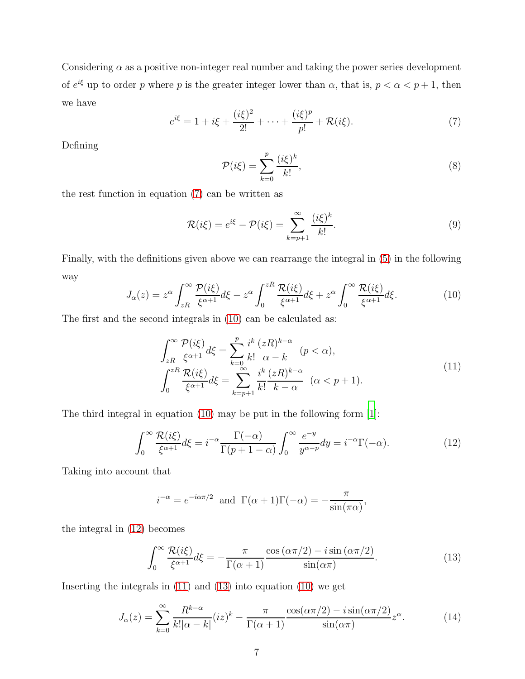Considering  $\alpha$  as a positive non-integer real number and taking the power series development of  $e^{i\xi}$  up to order p where p is the greater integer lower than  $\alpha$ , that is,  $p < \alpha < p+1$ , then we have

<span id="page-6-0"></span>
$$
e^{i\xi} = 1 + i\xi + \frac{(i\xi)^2}{2!} + \dots + \frac{(i\xi)^p}{p!} + \mathcal{R}(i\xi).
$$
 (7)

Defining

$$
\mathcal{P}(i\xi) = \sum_{k=0}^{p} \frac{(i\xi)^k}{k!},\tag{8}
$$

the rest function in equation [\(7\)](#page-6-0) can be written as

$$
\mathcal{R}(i\xi) = e^{i\xi} - \mathcal{P}(i\xi) = \sum_{k=p+1}^{\infty} \frac{(i\xi)^k}{k!}.
$$
\n(9)

Finally, with the definitions given above we can rearrange the integral in [\(5\)](#page-5-0) in the following way

<span id="page-6-1"></span>
$$
J_{\alpha}(z) = z^{\alpha} \int_{zR}^{\infty} \frac{\mathcal{P}(i\xi)}{\xi^{\alpha+1}} d\xi - z^{\alpha} \int_{0}^{zR} \frac{\mathcal{R}(i\xi)}{\xi^{\alpha+1}} d\xi + z^{\alpha} \int_{0}^{\infty} \frac{\mathcal{R}(i\xi)}{\xi^{\alpha+1}} d\xi.
$$
 (10)

The first and the second integrals in [\(10\)](#page-6-1) can be calculated as:

<span id="page-6-3"></span>
$$
\int_{zR}^{\infty} \frac{\mathcal{P}(i\xi)}{\xi^{\alpha+1}} d\xi = \sum_{k=0}^{p} \frac{i^k}{k!} \frac{(zR)^{k-\alpha}}{\alpha-k} \quad (p < \alpha),
$$

$$
\int_{0}^{zR} \frac{\mathcal{R}(i\xi)}{\xi^{\alpha+1}} d\xi = \sum_{k=p+1}^{\infty} \frac{i^k}{k!} \frac{(zR)^{k-\alpha}}{k-\alpha} \quad (\alpha < p+1).
$$
 (11)

The third integral in equation [\(10\)](#page-6-1) may be put in the following form [\[1\]](#page-34-0):

<span id="page-6-2"></span>
$$
\int_0^\infty \frac{\mathcal{R}(i\xi)}{\xi^{\alpha+1}} d\xi = i^{-\alpha} \frac{\Gamma(-\alpha)}{\Gamma(p+1-\alpha)} \int_0^\infty \frac{e^{-y}}{y^{\alpha-p}} dy = i^{-\alpha} \Gamma(-\alpha). \tag{12}
$$

Taking into account that

$$
i^{-\alpha} = e^{-i\alpha\pi/2}
$$
 and  $\Gamma(\alpha + 1)\Gamma(-\alpha) = -\frac{\pi}{\sin(\pi\alpha)}$ ,

the integral in [\(12\)](#page-6-2) becomes

<span id="page-6-4"></span>
$$
\int_0^\infty \frac{\mathcal{R}(i\xi)}{\xi^{\alpha+1}} d\xi = -\frac{\pi}{\Gamma(\alpha+1)} \frac{\cos(\alpha \pi/2) - i \sin(\alpha \pi/2)}{\sin(\alpha \pi)}.
$$
(13)

Inserting the integrals in [\(11\)](#page-6-3) and [\(13\)](#page-6-4) into equation [\(10\)](#page-6-1) we get

<span id="page-6-5"></span>
$$
J_{\alpha}(z) = \sum_{k=0}^{\infty} \frac{R^{k-\alpha}}{k! |\alpha - k|} (iz)^k - \frac{\pi}{\Gamma(\alpha+1)} \frac{\cos(\alpha \pi/2) - i \sin(\alpha \pi/2)}{\sin(\alpha \pi)} z^{\alpha}.
$$
 (14)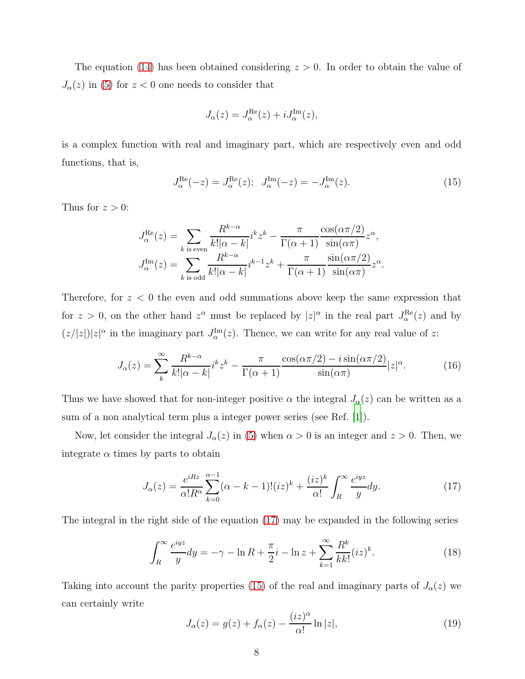The equation [\(14\)](#page-6-5) has been obtained considering  $z > 0$ . In order to obtain the value of  $J_{\alpha}(z)$  in [\(5\)](#page-5-0) for  $z < 0$  one needs to consider that

$$
J_{\alpha}(z) = J_{\alpha}^{\text{Re}}(z) + iJ_{\alpha}^{\text{Im}}(z),
$$

is a complex function with real and imaginary part, which are respectively even and odd functions, that is,

<span id="page-7-1"></span>
$$
J_{\alpha}^{\text{Re}}(-z) = J_{\alpha}^{\text{Re}}(z); \quad J_{\alpha}^{\text{Im}}(-z) = -J_{\alpha}^{\text{Im}}(z). \tag{15}
$$

Thus for  $z > 0$ :

$$
J_{\alpha}^{\text{Re}}(z) = \sum_{k \text{ is even}} \frac{R^{k-\alpha}}{k! |\alpha - k|} i^k z^k - \frac{\pi}{\Gamma(\alpha+1)} \frac{\cos(\alpha \pi/2)}{\sin(\alpha \pi)} z^{\alpha},
$$
  

$$
J_{\alpha}^{\text{Im}}(z) = \sum_{k \text{ is odd}} \frac{R^{k-\alpha}}{k! |\alpha - k|} i^{k-1} z^k + \frac{\pi}{\Gamma(\alpha+1)} \frac{\sin(\alpha \pi/2)}{\sin(\alpha \pi)} z^{\alpha}.
$$

Therefore, for  $z < 0$  the even and odd summations above keep the same expression that for  $z > 0$ , on the other hand  $z^{\alpha}$  must be replaced by  $|z|^{\alpha}$  in the real part  $J_{\alpha}^{\text{Re}}(z)$  and by  $(z/|z|)|z|^{\alpha}$  in the imaginary part  $J_{\alpha}^{\text{Im}}(z)$ . Thence, we can write for any real value of z:

<span id="page-7-2"></span>
$$
J_{\alpha}(z) = \sum_{k}^{\infty} \frac{R^{k-\alpha}}{k! |\alpha - k|} i^k z^k - \frac{\pi}{\Gamma(\alpha+1)} \frac{\cos(\alpha \pi/2) - i \sin(\alpha \pi/2)}{\sin(\alpha \pi)} |z|^{\alpha}.
$$
 (16)

Thus we have showed that for non-integer positive  $\alpha$  the integral  $J_{\alpha}(z)$  can be written as a sum of a non analytical term plus a integer power series (see Ref. [\[1](#page-34-0)]).

Now, let consider the integral  $J_{\alpha}(z)$  in [\(5\)](#page-5-0) when  $\alpha > 0$  is an integer and  $z > 0$ . Then, we integrate  $\alpha$  times by parts to obtain

<span id="page-7-0"></span>
$$
J_{\alpha}(z) = \frac{e^{iRz}}{\alpha!R^{\alpha}} \sum_{k=0}^{\alpha-1} (\alpha - k - 1)!(iz)^{k} + \frac{(iz)^{k}}{\alpha!} \int_{R}^{\infty} \frac{e^{iyz}}{y} dy.
$$
 (17)

The integral in the right side of the equation [\(17\)](#page-7-0) may be expanded in the following series

$$
\int_{R}^{\infty} \frac{e^{iyz}}{y} dy = -\gamma - \ln R + \frac{\pi}{2} i - \ln z + \sum_{k=1}^{\infty} \frac{R^k}{k k!} (iz)^k.
$$
 (18)

Taking into account the parity properties [\(15\)](#page-7-1) of the real and imaginary parts of  $J_{\alpha}(z)$  we can certainly write

<span id="page-7-3"></span>
$$
J_{\alpha}(z) = g(z) + f_{\alpha}(z) - \frac{(iz)^{\alpha}}{\alpha!} \ln|z|,
$$
\n(19)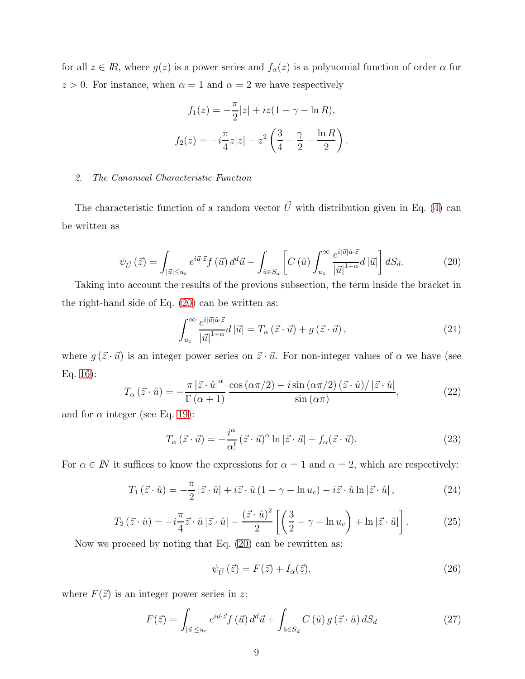for all  $z \in \mathbb{R}$ , where  $g(z)$  is a power series and  $f_{\alpha}(z)$  is a polynomial function of order  $\alpha$  for  $z > 0$ . For instance, when  $\alpha = 1$  and  $\alpha = 2$  we have respectively

$$
f_1(z) = -\frac{\pi}{2}|z| + iz(1 - \gamma - \ln R),
$$
  

$$
f_2(z) = -i\frac{\pi}{4}z|z| - z^2\left(\frac{3}{4} - \frac{\gamma}{2} - \frac{\ln R}{2}\right)
$$

#### *2. The Canonical Characteristic Function*

The characteristic function of a random vector  $\vec{U}$  with distribution given in Eq. [\(4\)](#page-5-1) can be written as

<span id="page-8-0"></span>
$$
\psi_{\vec{U}}\left(\vec{z}\right) = \int_{|\vec{u}| \le u_c} e^{i\vec{u}\cdot\vec{z}} f\left(\vec{u}\right) d^d \vec{u} + \int_{\hat{u} \in S_d} \left[ C\left(\hat{u}\right) \int_{u_c}^{\infty} \frac{e^{i|\vec{u}|\hat{u}\cdot\vec{z}}}{|\vec{u}|^{1+\alpha}} d|\vec{u}| \right] dS_d. \tag{20}
$$

Taking into account the results of the previous subsection, the term inside the bracket in the right-hand side of Eq. [\(20\)](#page-8-0) can be written as:

$$
\int_{u_c}^{\infty} \frac{e^{i|\vec{u}|\hat{u}\cdot\vec{z}}}{|\vec{u}|^{1+\alpha}} d|\vec{u}| = T_{\alpha}\left(\vec{z}\cdot\vec{u}\right) + g\left(\vec{z}\cdot\vec{u}\right),\tag{21}
$$

.

where  $g(\vec{z} \cdot \vec{u})$  is an integer power series on  $\vec{z} \cdot \vec{u}$ . For non-integer values of  $\alpha$  we have (see Eq. [16\)](#page-7-2):

$$
T_{\alpha}(\vec{z} \cdot \hat{u}) = -\frac{\pi |\vec{z} \cdot \hat{u}|^{\alpha}}{\Gamma(\alpha+1)} \frac{\cos(\alpha \pi/2) - i \sin(\alpha \pi/2) (\vec{z} \cdot \hat{u}) / |\vec{z} \cdot \hat{u}|}{\sin(\alpha \pi)},
$$
(22)

and for  $\alpha$  integer (see Eq. [19\)](#page-7-3):

$$
T_{\alpha}(\vec{z} \cdot \vec{u}) = -\frac{i^{\alpha}}{\alpha!} (\vec{z} \cdot \vec{u})^{\alpha} \ln |\vec{z} \cdot \vec{u}| + f_{\alpha}(\vec{z} \cdot \vec{u}). \tag{23}
$$

For  $\alpha \in \mathbb{N}$  it suffices to know the expressions for  $\alpha = 1$  and  $\alpha = 2$ , which are respectively:

$$
T_1(\vec{z} \cdot \hat{u}) = -\frac{\pi}{2} |\vec{z} \cdot \hat{u}| + i\vec{z} \cdot \hat{u} (1 - \gamma - \ln u_c) - i\vec{z} \cdot \hat{u} \ln |\vec{z} \cdot \hat{u}|, \qquad (24)
$$

$$
T_2(\vec{z} \cdot \hat{u}) = -i\frac{\pi}{4}\vec{z} \cdot \hat{u} |\vec{z} \cdot \hat{u}| - \frac{(\vec{z} \cdot \hat{u})^2}{2} \left[ \left( \frac{3}{2} - \gamma - \ln u_c \right) + \ln |\vec{z} \cdot \hat{u}| \right].
$$
 (25)

Now we proceed by noting that Eq. [\(20\)](#page-8-0) can be rewritten as:

<span id="page-8-1"></span>
$$
\psi_{\vec{U}}\left(\vec{z}\right) = F(\vec{z}) + I_{\alpha}(\vec{z}),\tag{26}
$$

where  $F(\vec{z})$  is an integer power series in z:

$$
F(\vec{z}) = \int_{|\vec{u}| \le u_c} e^{i\vec{u}\cdot\vec{z}} f(\vec{u}) d^d\vec{u} + \int_{\hat{u} \in S_d} C(\hat{u}) g(\vec{z} \cdot \hat{u}) dS_d
$$
 (27)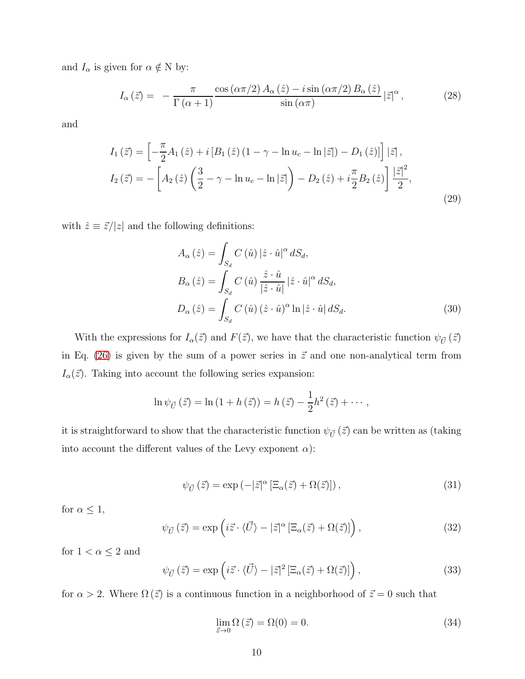and  $I_{\alpha}$  is given for  $\alpha \notin N$  by:

$$
I_{\alpha}\left(\vec{z}\right) = -\frac{\pi}{\Gamma\left(\alpha+1\right)} \frac{\cos\left(\alpha\pi/2\right) A_{\alpha}\left(\hat{z}\right) - i\sin\left(\alpha\pi/2\right) B_{\alpha}\left(\hat{z}\right)}{\sin\left(\alpha\pi\right)} \left|\vec{z}\right|^{\alpha},\tag{28}
$$

and

$$
I_{1}(\vec{z}) = \left[ -\frac{\pi}{2} A_{1}(\hat{z}) + i \left[ B_{1}(\hat{z}) \left( 1 - \gamma - \ln u_{c} - \ln |\vec{z}| \right) - D_{1}(\hat{z}) \right] \right] |\vec{z}|,
$$
  
\n
$$
I_{2}(\vec{z}) = -\left[ A_{2}(\hat{z}) \left( \frac{3}{2} - \gamma - \ln u_{c} - \ln |\vec{z}| \right) - D_{2}(\hat{z}) + i \frac{\pi}{2} B_{2}(\hat{z}) \right] \frac{|\vec{z}|^{2}}{2},
$$
\n(29)

with  $\hat{z} \equiv \vec{z}/|z|$  and the following definitions:

<span id="page-9-3"></span>
$$
A_{\alpha}(\hat{z}) = \int_{S_d} C(\hat{u}) |\hat{z} \cdot \hat{u}|^{\alpha} dS_d,
$$
  
\n
$$
B_{\alpha}(\hat{z}) = \int_{S_d} C(\hat{u}) \frac{\hat{z} \cdot \hat{u}}{|\hat{z} \cdot \hat{u}|} |\hat{z} \cdot \hat{u}|^{\alpha} dS_d,
$$
  
\n
$$
D_{\alpha}(\hat{z}) = \int_{S_d} C(\hat{u}) (\hat{z} \cdot \hat{u})^{\alpha} \ln |\hat{z} \cdot \hat{u}| dS_d.
$$
\n(30)

With the expressions for  $I_{\alpha}(\vec{z})$  and  $F(\vec{z})$ , we have that the characteristic function  $\psi_{\vec{U}}(\vec{z})$ in Eq. [\(26\)](#page-8-1) is given by the sum of a power series in  $\vec{z}$  and one non-analytical term from  $I_{\alpha}(\vec{z})$ . Taking into account the following series expansion:

$$
\ln \psi_{\vec{U}}(\vec{z}) = \ln (1 + h(\vec{z})) = h(\vec{z}) - \frac{1}{2}h^2(\vec{z}) + \cdots,
$$

it is straightforward to show that the characteristic function  $\psi_{\vec{U}}(\vec{z})$  can be written as (taking into account the different values of the Levy exponent  $\alpha$ ):

<span id="page-9-0"></span>
$$
\psi_{\vec{U}}(\vec{z}) = \exp\left(-|\vec{z}|^{\alpha} \left[\Xi_{\alpha}(\vec{z}) + \Omega(\vec{z})\right]\right),\tag{31}
$$

for  $\alpha \leq 1$ ,

<span id="page-9-1"></span>
$$
\psi_{\vec{U}}(\vec{z}) = \exp\left(i\vec{z}\cdot\langle\vec{U}\rangle - |\vec{z}|^{\alpha}\left[\Xi_{\alpha}(\vec{z}) + \Omega(\vec{z})\right]\right),\tag{32}
$$

for  $1<\alpha\leq 2$  and

<span id="page-9-2"></span>
$$
\psi_{\vec{U}}(\vec{z}) = \exp\left(i\vec{z}\cdot\langle\vec{U}\rangle - |\vec{z}|^2 \left[\Xi_{\alpha}(\vec{z}) + \Omega(\vec{z})\right]\right),\tag{33}
$$

for  $\alpha > 2$ . Where  $\Omega(\vec{z})$  is a continuous function in a neighborhood of  $\vec{z} = 0$  such that

<span id="page-9-4"></span>
$$
\lim_{\vec{z}\to 0} \Omega\left(\vec{z}\right) = \Omega(0) = 0. \tag{34}
$$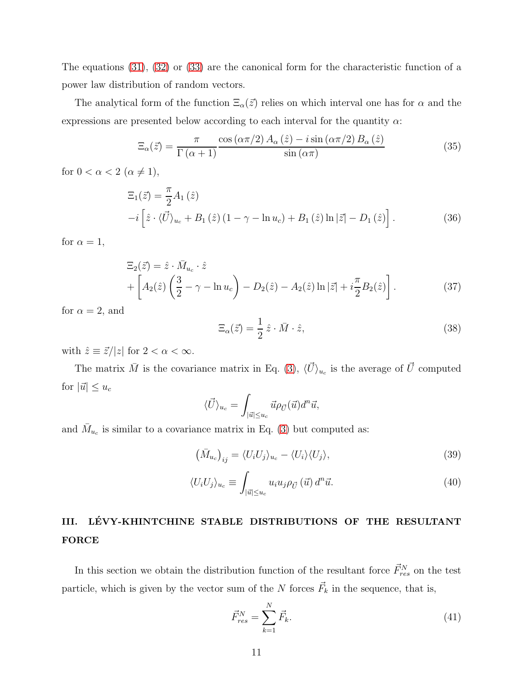The equations [\(31\)](#page-9-0), [\(32\)](#page-9-1) or [\(33\)](#page-9-2) are the canonical form for the characteristic function of a power law distribution of random vectors.

The analytical form of the function  $\Xi_{\alpha}(\vec{z})$  relies on which interval one has for  $\alpha$  and the expressions are presented below according to each interval for the quantity  $\alpha$ :

<span id="page-10-2"></span>
$$
\Xi_{\alpha}(\vec{z}) = \frac{\pi}{\Gamma(\alpha+1)} \frac{\cos(\alpha \pi/2) A_{\alpha}(\hat{z}) - i \sin(\alpha \pi/2) B_{\alpha}(\hat{z})}{\sin(\alpha \pi)}
$$
(35)

for  $0 < \alpha < 2 \ (\alpha \neq 1),$ 

<span id="page-10-3"></span>
$$
\Xi_1(\vec{z}) = \frac{\pi}{2} A_1(\hat{z}) \n-i \left[ \hat{z} \cdot \langle \vec{U} \rangle_{u_c} + B_1(\hat{z}) (1 - \gamma - \ln u_c) + B_1(\hat{z}) \ln |\vec{z}| - D_1(\hat{z}) \right].
$$
\n(36)

for  $\alpha = 1$ ,

<span id="page-10-4"></span>
$$
\begin{split} \Xi_2(\vec{z}) &= \hat{z} \cdot \bar{M}_{u_c} \cdot \hat{z} \\ &+ \left[ A_2(\hat{z}) \left( \frac{3}{2} - \gamma - \ln u_c \right) - D_2(\hat{z}) - A_2(\hat{z}) \ln |\vec{z}| + i \frac{\pi}{2} B_2(\hat{z}) \right]. \end{split} \tag{37}
$$

for  $\alpha = 2$ , and

<span id="page-10-1"></span>
$$
\Xi_{\alpha}(\vec{z}) = \frac{1}{2} \hat{z} \cdot \bar{M} \cdot \hat{z},\tag{38}
$$

with  $\hat{z} \equiv \vec{z}/|z|$  for  $2 < \alpha < \infty$ .

The matrix  $\bar{M}$  is the covariance matrix in Eq. [\(3\)](#page-4-0),  $\langle \vec{U} \rangle_{u_c}$  is the average of  $\vec{U}$  computed for  $|\vec{u}| \leq u_c$ 

$$
\langle \vec{U} \rangle_{u_c} = \int_{|\vec{u}| \le u_c} \vec{u} \rho_{\vec{U}}(\vec{u}) d^n \vec{u},
$$

and  $\bar{M}_{u_c}$  is similar to a covariance matrix in Eq. [\(3\)](#page-4-0) but computed as:

$$
\left(\bar{M}_{u_c}\right)_{ij} = \langle U_i U_j \rangle_{u_c} - \langle U_i \rangle \langle U_j \rangle,\tag{39}
$$

$$
\langle U_i U_j \rangle_{u_c} \equiv \int_{|\vec{u}| \le u_c} u_i u_j \rho_{\vec{U}}(\vec{u}) d^n \vec{u}.
$$
 (40)

## <span id="page-10-0"></span>III. LÉVY-KHINTCHINE STABLE DISTRIBUTIONS OF THE RESULTANT FORCE

In this section we obtain the distribution function of the resultant force  $\vec{F}_{res}^{N}$  on the test particle, which is given by the vector sum of the N forces  $\vec{F}_k$  in the sequence, that is,

$$
\vec{F}_{res}^{N} = \sum_{k=1}^{N} \vec{F}_{k}.
$$
\n(41)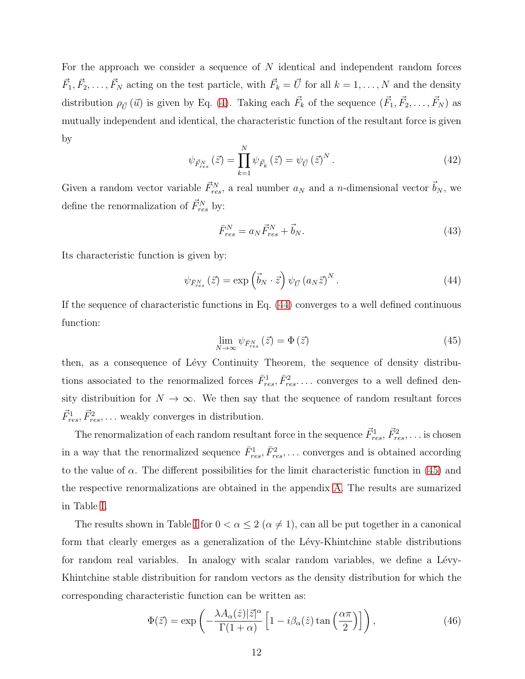For the approach we consider a sequence of N identical and independent random forces  $\vec{F}_1, \vec{F}_2, \ldots, \vec{F}_N$  acting on the test particle, with  $\vec{F}_k = \vec{U}$  for all  $k = 1, \ldots, N$  and the density distribution  $\rho_{\vec{U}}(\vec{u})$  is given by Eq. [\(4\)](#page-5-1). Taking each  $\vec{F}_k$  of the sequence  $(\vec{F}_1, \vec{F}_2, \ldots, \vec{F}_N)$  as mutually independent and identical, the characteristic function of the resultant force is given by

<span id="page-11-4"></span>
$$
\psi_{\vec{F}_{res}^N}(\vec{z}) = \prod_{k=1}^N \psi_{\vec{F}_k}(\vec{z}) = \psi_{\vec{U}}(\vec{z})^N.
$$
\n(42)

Given a random vector variable  $\vec{F}_{res}^N$ , a real number  $a_N$  and a n-dimensional vector  $\vec{b}_N$ , we define the renormalization of  $\vec{F}_{res}^{N}$  by:

<span id="page-11-3"></span>
$$
\bar{F}_{res}^N = a_N \vec{F}_{res}^N + \vec{b}_N. \tag{43}
$$

Its characteristic function is given by:

<span id="page-11-0"></span>
$$
\psi_{\bar{F}_{res}^N}(\vec{z}) = \exp\left(\vec{b}_N \cdot \vec{z}\right) \psi_{\vec{U}} \left(a_N \vec{z}\right)^N. \tag{44}
$$

If the sequence of characteristic functions in Eq. [\(44\)](#page-11-0) converges to a well defined continuous function:

<span id="page-11-1"></span>
$$
\lim_{N \to \infty} \psi_{\bar{F}_{res}^N}(\vec{z}) = \Phi(\vec{z}) \tag{45}
$$

then, as a consequence of Lévy Continuity Theorem, the sequence of density distributions associated to the renormalized forces  $\bar{F}_{res}^1, \bar{F}_{res}^2, \ldots$  converges to a well defined density distribuition for  $N \to \infty$ . We then say that the sequence of random resultant forces  $\vec{F}_{res}^1$ ,  $\vec{F}_{res}^2$ , ... weakly converges in distribution.

The renormalization of each random resultant force in the sequence  $\vec{F}_{res}^1$ ,  $\vec{F}_{res}^2$ , ... is chosen in a way that the renormalized sequence  $\bar{F}^1_{res}, \bar{F}^2_{res}, \ldots$  converges and is obtained according to the value of  $\alpha$ . The different possibilities for the limit characteristic function in [\(45\)](#page-11-1) and the respective renormalizations are obtained in the appendix [A.](#page-30-0) The results are sumarized in Table [I.](#page-12-0)

The results shown in Table [I](#page-12-0) for  $0 < \alpha \leq 2$  ( $\alpha \neq 1$ ), can all be put together in a canonical form that clearly emerges as a generalization of the Lévy-Khintchine stable distributions for random real variables. In analogy with scalar random variables, we define a Lévy-Khintchine stable distribuition for random vectors as the density distribution for which the corresponding characteristic function can be written as:

<span id="page-11-2"></span>
$$
\Phi(\vec{z}) = \exp\left(-\frac{\lambda A_{\alpha}(\hat{z})|\vec{z}|^{\alpha}}{\Gamma(1+\alpha)} \left[1 - i\beta_{\alpha}(\hat{z})\tan\left(\frac{\alpha\pi}{2}\right)\right]\right),\tag{46}
$$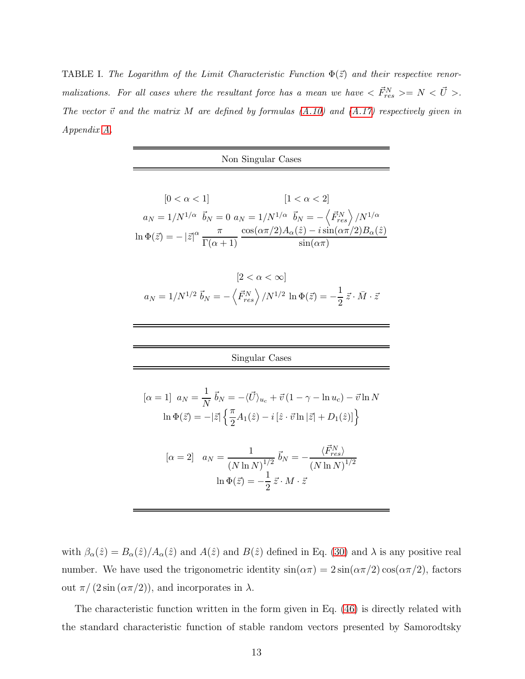<span id="page-12-0"></span>**TABLE I.** The Logarithm of the Limit Characteristic Function  $\Phi(\vec{z})$  and their respective renor*malizations.* For all cases where the resultant force has a mean we have  $\langle \vec{F}_{res}^N \rangle = N \langle \vec{U} \rangle$ . *The vector*  $\vec{v}$  *and the matrix* M *are defined by formulas*  $(A.10)$  *and*  $(A.17)$  *respectively given in Appendix [A.](#page-30-0)*

| Non Singular Cases                                                                                                                                                                                                                                                                                                                                                                                                                                        |  |  |
|-----------------------------------------------------------------------------------------------------------------------------------------------------------------------------------------------------------------------------------------------------------------------------------------------------------------------------------------------------------------------------------------------------------------------------------------------------------|--|--|
| $[0 < \alpha < 1]$<br>$\left[1 < \alpha < 2\right]$<br>$a_N = 1/N^{1/\alpha} \  \, \vec{b}_N = 0 \,\, a_N = 1/N^{1/\alpha} \  \, \vec{b}_N = - \left\langle \vec{F}_{res}^N \right\rangle / N^{1/\alpha}$<br>$\ln \Phi(\vec{z}) = -\left  \vec{z} \right ^\alpha \frac{\pi}{\Gamma(\alpha+1)} \frac{\cos(\alpha \pi/2) A_\alpha(\hat{z}) - i \sin(\alpha \pi/2) B_\alpha(\hat{z})}{\sin(\alpha \pi)}$                                                     |  |  |
| $ 2 < \alpha < \infty $<br>$a_N = 1/N^{1/2} \vec{b}_N = -\langle \vec{F}_{res}^N \rangle / N^{1/2} \ln \Phi(\vec{z}) = -\frac{1}{2} \vec{z} \cdot \vec{M} \cdot \vec{z}$                                                                                                                                                                                                                                                                                  |  |  |
| Singular Cases                                                                                                                                                                                                                                                                                                                                                                                                                                            |  |  |
| $[\alpha=1] u_N = \frac{1}{N} \vec{b}_N = -\langle \vec{U} \rangle_{u_c} + \vec{v} (1-\gamma - \ln u_c) - \vec{v} \ln N$<br>$\ln \Phi(\vec{z}) = - \vec{z}  \left\{ \frac{\pi}{2} A_1(\hat{z}) - i [\hat{z} \cdot \vec{v} \ln  \vec{z}  + D_1(\hat{z}) ] \right\}$<br>$[\alpha = 2]$ $a_N = \frac{1}{(N \ln N)^{1/2}} \vec{b}_N = -\frac{\langle F_{res}^N \rangle}{(N \ln N)^{1/2}}$<br>$\ln \Phi(\vec{z}) = -\frac{1}{2} \vec{z} \cdot M \cdot \vec{z}$ |  |  |

with  $\beta_{\alpha}(\hat{z}) = B_{\alpha}(\hat{z})/A_{\alpha}(\hat{z})$  and  $A(\hat{z})$  and  $B(\hat{z})$  defined in Eq. [\(30\)](#page-9-3) and  $\lambda$  is any positive real number. We have used the trigonometric identity  $sin(\alpha \pi) = 2 sin(\alpha \pi/2) cos(\alpha \pi/2)$ , factors out  $\pi/(2\sin(\alpha\pi/2))$ , and incorporates in  $\lambda$ .

The characteristic function written in the form given in Eq. [\(46\)](#page-11-2) is directly related with the standard characteristic function of stable random vectors presented by Samorodtsky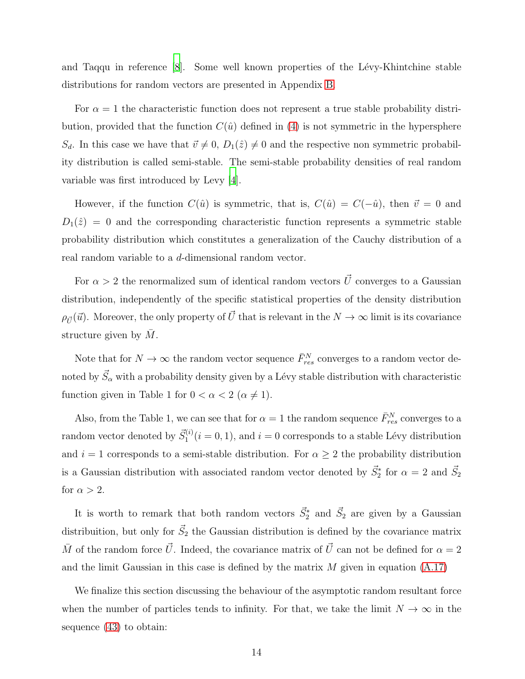and Taqqu in reference [\[8\]](#page-35-3). Some well known properties of the Lévy-Khintchine stable distributions for random vectors are presented in Appendix [B.](#page-33-0)

For  $\alpha = 1$  the characteristic function does not represent a true stable probability distribution, provided that the function  $C(\hat{u})$  defined in [\(4\)](#page-5-1) is not symmetric in the hypersphere  $S_d$ . In this case we have that  $\vec{v} \neq 0$ ,  $D_1(\hat{z}) \neq 0$  and the respective non symmetric probability distribution is called semi-stable. The semi-stable probability densities of real random variable was first introduced by Levy [\[4](#page-34-3)].

However, if the function  $C(\hat{u})$  is symmetric, that is,  $C(\hat{u}) = C(-\hat{u})$ , then  $\vec{v} = 0$  and  $D_1(\hat{z}) = 0$  and the corresponding characteristic function represents a symmetric stable probability distribution which constitutes a generalization of the Cauchy distribution of a real random variable to a d-dimensional random vector.

For  $\alpha > 2$  the renormalized sum of identical random vectors  $\vec{U}$  converges to a Gaussian distribution, independently of the specific statistical properties of the density distribution  $\rho_{\vec{U}}(\vec{u})$ . Moreover, the only property of  $\vec{U}$  that is relevant in the  $N \to \infty$  limit is its covariance structure given by  $M$ .

Note that for  $N \to \infty$  the random vector sequence  $\bar{F}_{res}^N$  converges to a random vector denoted by  $\vec{S}_{\alpha}$  with a probability density given by a Lévy stable distribution with characteristic function given in Table 1 for  $0 < \alpha < 2 \ (\alpha \neq 1)$ .

Also, from the Table 1, we can see that for  $\alpha = 1$  the random sequence  $\bar{F}_{res}^{N}$  converges to a random vector denoted by  $\vec{S}_1^{(i)}$  $i_1^{(i)}$   $(i = 0, 1)$ , and  $i = 0$  corresponds to a stable Lévy distribution and  $i = 1$  corresponds to a semi-stable distribution. For  $\alpha \geq 2$  the probability distribution is a Gaussian distribution with associated random vector denoted by  $\vec{S}_2^*$  for  $\alpha = 2$  and  $\vec{S}_2$ for  $\alpha > 2$ .

It is worth to remark that both random vectors  $\vec{S}_2^*$  and  $\vec{S}_2$  are given by a Gaussian distribuition, but only for  $\vec{S}_2$  the Gaussian distribution is defined by the covariance matrix  $\overline{M}$  of the random force  $\overrightarrow{U}$ . Indeed, the covariance matrix of  $\overrightarrow{U}$  can not be defined for  $\alpha = 2$ and the limit Gaussian in this case is defined by the matrix  $M$  given in equation  $(A.17)$ 

We finalize this section discussing the behaviour of the asymptotic random resultant force when the number of particles tends to infinity. For that, we take the limit  $N \to \infty$  in the sequence [\(43\)](#page-11-3) to obtain: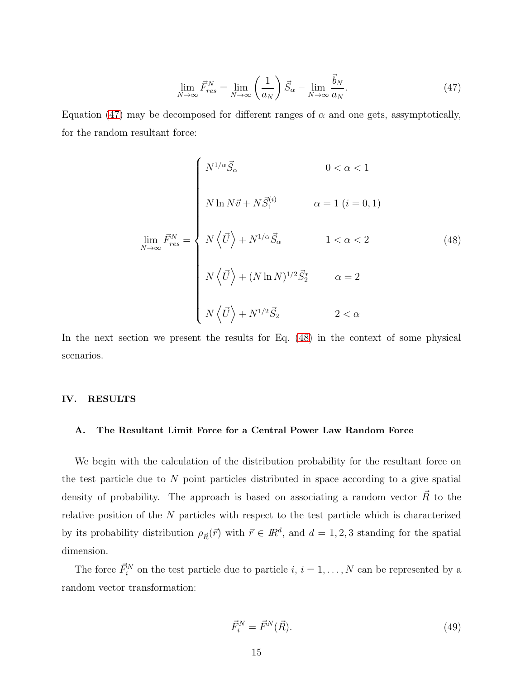<span id="page-14-1"></span>
$$
\lim_{N \to \infty} \vec{F}_{res}^N = \lim_{N \to \infty} \left(\frac{1}{a_N}\right) \vec{S}_{\alpha} - \lim_{N \to \infty} \frac{\vec{b}_N}{a_N}.\tag{47}
$$

Equation [\(47\)](#page-14-1) may be decomposed for different ranges of  $\alpha$  and one gets, assymptotically, for the random resultant force:

<span id="page-14-2"></span>
$$
\lim_{N \to \infty} \vec{F}_{res}^{N} = \begin{cases} N^{1/\alpha} \vec{S}_{\alpha} & 0 < \alpha < 1 \\ N \ln N \vec{v} + N \vec{S}_{1}^{(i)} & \alpha = 1 \ (i = 0, 1) \\ N \left\langle \vec{U} \right\rangle + N^{1/\alpha} \vec{S}_{\alpha} & 1 < \alpha < 2 \\ N \left\langle \vec{U} \right\rangle + (N \ln N)^{1/2} \vec{S}_{2}^{*} & \alpha = 2 \\ N \left\langle \vec{U} \right\rangle + N^{1/2} \vec{S}_{2} & 2 < \alpha \end{cases} \tag{48}
$$

In the next section we present the results for Eq.  $(48)$  in the context of some physical scenarios.

#### <span id="page-14-0"></span>IV. RESULTS

#### A. The Resultant Limit Force for a Central Power Law Random Force

We begin with the calculation of the distribution probability for the resultant force on the test particle due to  $N$  point particles distributed in space according to a give spatial density of probability. The approach is based on associating a random vector  $\vec{R}$  to the relative position of the  $N$  particles with respect to the test particle which is characterized by its probability distribution  $\rho_{\vec{R}}(\vec{r})$  with  $\vec{r} \in \mathbb{R}^d$ , and  $d = 1, 2, 3$  standing for the spatial dimension.

The force  $\vec{F}_i^N$  on the test particle due to particle  $i, i = 1, ..., N$  can be represented by a random vector transformation:

$$
\vec{F}_i^N = \vec{F}^N(\vec{R}).\tag{49}
$$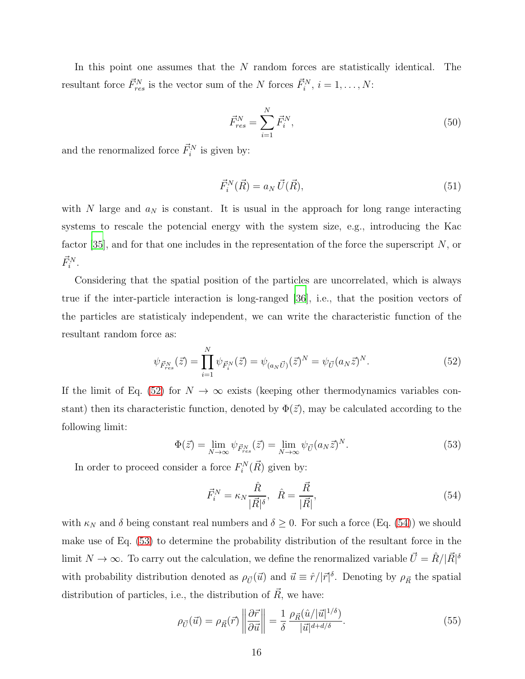In this point one assumes that the N random forces are statistically identical. The resultant force  $\vec{F}_{res}^N$  is the vector sum of the N forces  $\vec{F}_{i}^N$ ,  $i = 1, \ldots, N$ :

<span id="page-15-4"></span>
$$
\vec{F}_{res}^{N} = \sum_{i=1}^{N} \vec{F}_{i}^{N},\tag{50}
$$

and the renormalized force  $\vec{F}_i^N$  is given by:

$$
\vec{F}_i^N(\vec{R}) = a_N \vec{U}(\vec{R}),\tag{51}
$$

with  $N$  large and  $a_N$  is constant. It is usual in the approach for long range interacting systems to rescale the potencial energy with the system size, e.g., introducing the Kac factor [\[35](#page-36-13)], and for that one includes in the representation of the force the superscript  $N$ , or  $\vec{F}_i^N$ .

Considering that the spatial position of the particles are uncorrelated, which is always true if the inter-particle interaction is long-ranged [\[36\]](#page-36-14), i.e., that the position vectors of the particles are statisticaly independent, we can write the characteristic function of the resultant random force as:

<span id="page-15-0"></span>
$$
\psi_{\vec{F}_{res}^N}(\vec{z}) = \prod_{i=1}^N \psi_{\vec{F}_i^N}(\vec{z}) = \psi_{(a_N\vec{U})}(\vec{z})^N = \psi_{\vec{U}}(a_N\vec{z})^N.
$$
\n(52)

If the limit of Eq. [\(52\)](#page-15-0) for  $N \to \infty$  exists (keeping other thermodynamics variables constant) then its characteristic function, denoted by  $\Phi(\vec{z})$ , may be calculated according to the following limit:

<span id="page-15-2"></span>
$$
\Phi(\vec{z}) = \lim_{N \to \infty} \psi_{\vec{F}_{res}^N}(\vec{z}) = \lim_{N \to \infty} \psi_{\vec{U}}(a_N \vec{z})^N.
$$
\n(53)

In order to proceed consider a force  $F_i^N(\vec{R})$  given by:

<span id="page-15-1"></span>
$$
\vec{F}_i^N = \kappa_N \frac{\hat{R}}{|\vec{R}|^\delta}, \quad \hat{R} = \frac{\vec{R}}{|\vec{R}|},\tag{54}
$$

with  $\kappa_N$  and  $\delta$  being constant real numbers and  $\delta \geq 0$ . For such a force (Eq. [\(54\)](#page-15-1)) we should make use of Eq. [\(53\)](#page-15-2) to determine the probability distribution of the resultant force in the limit  $N \to \infty$ . To carry out the calculation, we define the renormalized variable  $\vec{U} = \hat{R}/|\vec{R}|^{\delta}$ with probability distribution denoted as  $\rho_{\vec{U}}(\vec{u})$  and  $\vec{u} \equiv \hat{r}/|\vec{r}|^{\delta}$ . Denoting by  $\rho_{\vec{R}}$  the spatial distribution of particles, i.e., the distribution of  $\vec{R}$ , we have:

<span id="page-15-3"></span>
$$
\rho_{\vec{U}}(\vec{u}) = \rho_{\vec{R}}(\vec{r}) \left\| \frac{\partial \vec{r}}{\partial \vec{u}} \right\| = \frac{1}{\delta} \frac{\rho_{\vec{R}}(\hat{u}/|\vec{u}|^{1/\delta})}{|\vec{u}|^{d+d/\delta}}.
$$
\n(55)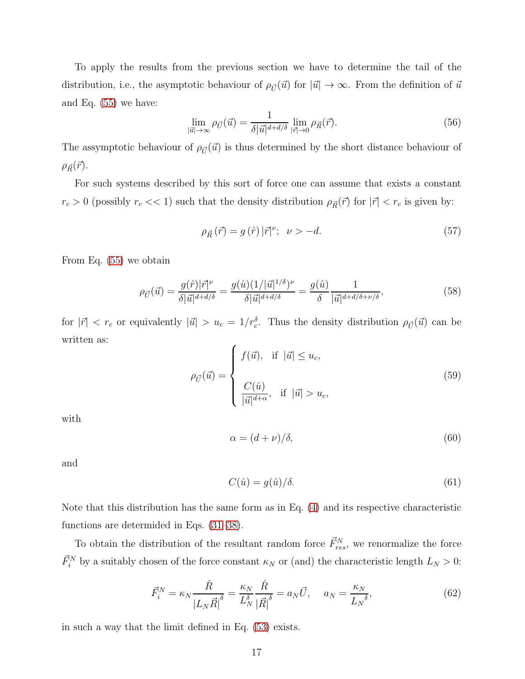To apply the results from the previous section we have to determine the tail of the distribution, i.e., the asymptotic behaviour of  $\rho_{\vec{U}}(\vec{u})$  for  $|\vec{u}| \to \infty$ . From the definition of  $\vec{u}$ and Eq. [\(55\)](#page-15-3) we have:

<span id="page-16-1"></span>
$$
\lim_{|\vec{u}| \to \infty} \rho_{\vec{U}}(\vec{u}) = \frac{1}{\delta |\vec{u}|^{d+d/\delta}} \lim_{|\vec{r}| \to 0} \rho_{\vec{R}}(\vec{r}). \tag{56}
$$

The assymptotic behaviour of  $\rho_{\vec{U}}(\vec{u})$  is thus determined by the short distance behaviour of  $\rho_{\vec{R}}(\vec{r}).$ 

For such systems described by this sort of force one can assume that exists a constant  $r_c > 0$  (possibly  $r_c \ll 1$ ) such that the density distribution  $\rho_{\vec{R}}(\vec{r})$  for  $|\vec{r}| < r_c$  is given by:

<span id="page-16-2"></span>
$$
\rho_{\vec{R}}\left(\vec{r}\right) = g\left(\hat{r}\right)|\vec{r}|^{\nu}; \quad \nu > -d. \tag{57}
$$

From Eq. [\(55\)](#page-15-3) we obtain

<span id="page-16-3"></span>
$$
\rho_{\vec{U}}(\vec{u}) = \frac{g(\hat{r})|\vec{r}|^{\nu}}{\delta|\vec{u}|^{d+d/\delta}} = \frac{g(\hat{u})(1/|\vec{u}|^{1/\delta})^{\nu}}{\delta|\vec{u}|^{d+d/\delta}} = \frac{g(\hat{u})}{\delta} \frac{1}{|\vec{u}|^{d+d/\delta+\nu/\delta}},
$$
\n(58)

for  $|\vec{r}| < r_c$  or equivalently  $|\vec{u}| > u_c = 1/r_c^{\delta}$ . Thus the density distribution  $\rho_{\vec{U}}(\vec{u})$  can be written as:

<span id="page-16-0"></span>
$$
\rho_{\vec{U}}(\vec{u}) = \begin{cases}\nf(\vec{u}), & \text{if } |\vec{u}| \le u_c, \\
\frac{C(\hat{u})}{|\vec{u}|^{d+\alpha}}, & \text{if } |\vec{u}| > u_c,\n\end{cases}
$$
\n(59)

with

$$
\alpha = (d + \nu)/\delta, \tag{60}
$$

and

<span id="page-16-5"></span>
$$
C(\hat{u}) = g(\hat{u})/\delta.
$$
\n(61)

Note that this distribution has the same form as in Eq. [\(4\)](#page-5-1) and its respective characteristic functions are determided in Eqs. [\(31–](#page-9-0)[38\)](#page-10-1).

To obtain the distribution of the resultant random force  $\vec{F}_{res}^{N}$ , we renormalize the force  $\vec{F}_{i}^{N}$  by a suitably chosen of the force constant  $\kappa_{N}$  or (and) the characteristic length  $L_{N} > 0$ :

<span id="page-16-4"></span>
$$
\vec{F}_i^N = \kappa_N \frac{\hat{R}}{\left| L_N \vec{R} \right|^{\delta}} = \frac{\kappa_N}{L_N^{\delta}} \frac{\hat{R}}{\left| \vec{R} \right|^{\delta}} = a_N \vec{U}, \quad a_N = \frac{\kappa_N}{L_N^{\delta}},\tag{62}
$$

in such a way that the limit defined in Eq. [\(53\)](#page-15-2) exists.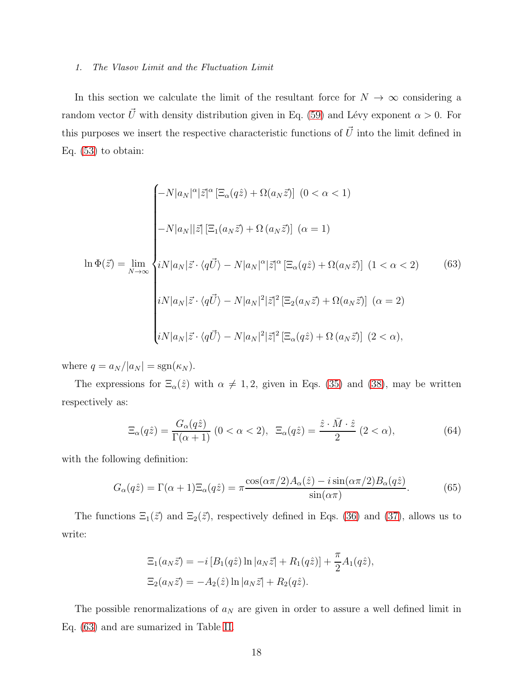#### *1. The Vlasov Limit and the Fluctuation Limit*

In this section we calculate the limit of the resultant force for  $N \to \infty$  considering a random vector  $\vec{U}$  with density distribution given in Eq. [\(59\)](#page-16-0) and Lévy exponent  $\alpha > 0$ . For this purposes we insert the respective characteristic functions of  $\vec{U}$  into the limit defined in Eq.  $(53)$  to obtain:

<span id="page-17-0"></span>
$$
\begin{cases}\n-N|a_N|^{\alpha}|\vec{z}|^{\alpha} \left[\Xi_{\alpha}(q\hat{z}) + \Omega(a_N\vec{z})\right] \ (0 < \alpha < 1) \\
-N|a_N||\vec{z}| \left[\Xi_1(a_N\vec{z}) + \Omega(a_N\vec{z})\right] \ (\alpha = 1) \\
\ln \Phi(\vec{z}) = \lim_{N \to \infty} \begin{cases}\niN|a_N|\vec{z} \cdot \langle q\vec{U} \rangle - N|a_N|^{\alpha}|\vec{z}|^{\alpha} \left[\Xi_{\alpha}(q\hat{z}) + \Omega(a_N\vec{z})\right] \ (1 < \alpha < 2) \\
iN|a_N|\vec{z} \cdot \langle q\vec{U} \rangle - N|a_N|^2|\vec{z}|^2 \left[\Xi_2(a_N\vec{z}) + \Omega(a_N\vec{z})\right] \ (\alpha = 2) \\
iN|a_N|\vec{z} \cdot \langle q\vec{U} \rangle - N|a_N|^2|\vec{z}|^2 \left[\Xi_{\alpha}(q\hat{z}) + \Omega(a_N\vec{z})\right] \ (2 < \alpha),\n\end{cases}\n\tag{63}
$$

where  $q = a_N / |a_N| = \text{sgn}(\kappa_N)$ .

The expressions for  $\Xi_{\alpha}(\hat{z})$  with  $\alpha \neq 1, 2$ , given in Eqs. [\(35\)](#page-10-2) and [\(38\)](#page-10-1), may be written respectively as:

$$
\Xi_{\alpha}(q\hat{z}) = \frac{G_{\alpha}(q\hat{z})}{\Gamma(\alpha+1)} (0 < \alpha < 2), \ \ \Xi_{\alpha}(q\hat{z}) = \frac{\hat{z} \cdot \bar{M} \cdot \hat{z}}{2} (2 < \alpha), \tag{64}
$$

with the following definition:

$$
G_{\alpha}(q\hat{z}) = \Gamma(\alpha + 1)\Xi_{\alpha}(q\hat{z}) = \pi \frac{\cos(\alpha \pi/2)A_{\alpha}(\hat{z}) - i\sin(\alpha \pi/2)B_{\alpha}(q\hat{z})}{\sin(\alpha \pi)}.
$$
(65)

The functions  $\Xi_1(\vec{z})$  and  $\Xi_2(\vec{z})$ , respectively defined in Eqs. [\(36\)](#page-10-3) and [\(37\)](#page-10-4), allows us to write:

$$
\begin{aligned} \Xi_1(a_N \vec{z}) &= -i \left[ B_1(q\hat{z}) \ln |a_N \vec{z}| + R_1(q\hat{z}) \right] + \frac{\pi}{2} A_1(q\hat{z}), \\ \Xi_2(a_N \vec{z}) &= -A_2(\hat{z}) \ln |a_N \vec{z}| + R_2(q\hat{z}). \end{aligned}
$$

The possible renormalizations of  $a_N$  are given in order to assure a well defined limit in Eq. [\(63\)](#page-17-0) and are sumarized in Table [II.](#page-18-0)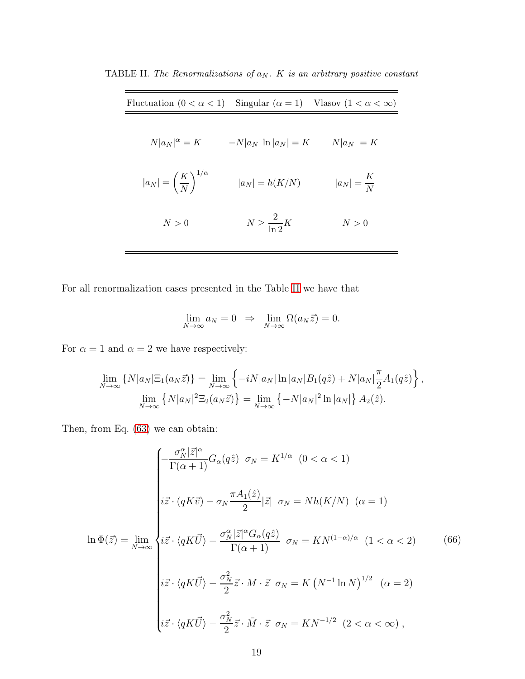<span id="page-18-0"></span>

| Fluctuation $(0 < \alpha < 1)$ Singular $(\alpha = 1)$ Vlasov $(1 < \alpha < \infty)$ |                            |                       |
|---------------------------------------------------------------------------------------|----------------------------|-----------------------|
| $N a_N ^{\alpha} = K$                                                                 | $-N a_N \ln a_N =K$        | $N a_N =K$            |
| $ a_N  = \left(\frac{K}{N}\right)^{1/\alpha}$                                         | $ a_N  = h(K/N)$           | $ a_N  = \frac{K}{N}$ |
| N>0                                                                                   | $N \geq \frac{2}{\ln 2} K$ | N>0                   |

TABLE II. *The Renormalizations of*  $a_N$ . *K is an arbitrary positive constant* 

For all renormalization cases presented in the Table [II](#page-18-0) we have that

$$
\lim_{N \to \infty} a_N = 0 \Rightarrow \lim_{N \to \infty} \Omega(a_N \vec{z}) = 0.
$$

For  $\alpha = 1$  and  $\alpha = 2$  we have respectively:

$$
\lim_{N \to \infty} \left\{ N |a_N| \Xi_1(a_N \vec{z}) \right\} = \lim_{N \to \infty} \left\{ -i N |a_N| \ln |a_N| B_1(q\hat{z}) + N |a_N| \frac{\pi}{2} A_1(q\hat{z}) \right\},
$$
  

$$
\lim_{N \to \infty} \left\{ N |a_N|^2 \Xi_2(a_N \vec{z}) \right\} = \lim_{N \to \infty} \left\{ -N |a_N|^2 \ln |a_N| \right\} A_2(\hat{z}).
$$

Then, from Eq. [\(63\)](#page-17-0) we can obtain:

<span id="page-18-1"></span>
$$
\ln \Phi(\vec{z}) = \lim_{N \to \infty} \begin{cases}\n-\frac{\sigma_N^{\alpha} |\vec{z}|^{\alpha}}{\Gamma(\alpha+1)} G_{\alpha}(q\hat{z}) & \sigma_N = K^{1/\alpha} \quad (0 < \alpha < 1) \\
i\vec{z} \cdot (qK\vec{v}) - \sigma_N \frac{\pi A_1(\hat{z})}{2} |\vec{z}| & \sigma_N = Nh(K/N) \quad (\alpha = 1) \\
\iiint \Phi(\vec{z}) = \lim_{N \to \infty} \begin{cases}\ni\vec{z} \cdot \langle qK\vec{U} \rangle - \frac{\sigma_N^{\alpha} |\vec{z}|^{\alpha} G_{\alpha}(q\hat{z})}{\Gamma(\alpha+1)} & \sigma_N = KN^{(1-\alpha)/\alpha} \quad (1 < \alpha < 2) \\
i\vec{z} \cdot \langle qK\vec{U} \rangle - \frac{\sigma_N^2}{2} \vec{z} \cdot M \cdot \vec{z} & \sigma_N = K \left(N^{-1} \ln N\right)^{1/2} \quad (\alpha = 2) \\
i\vec{z} \cdot \langle qK\vec{U} \rangle - \frac{\sigma_N^2}{2} \vec{z} \cdot \vec{M} \cdot \vec{z} & \sigma_N = KN^{-1/2} \quad (2 < \alpha < \infty),\n\end{cases}\n\tag{66}
$$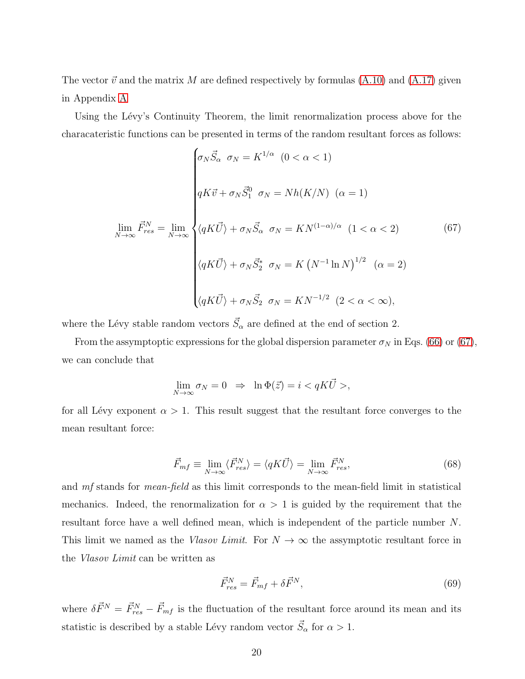The vector  $\vec{v}$  and the matrix M are defined respectively by formulas [\(A.10\)](#page-31-0) and [\(A.17\)](#page-32-0) given in Appendix [A](#page-30-0)

Using the Lévy's Continuity Theorem, the limit renormalization process above for the characateristic functions can be presented in terms of the random resultant forces as follows:

<span id="page-19-0"></span>
$$
\lim_{N \to \infty} \vec{F}_{res}^{N} = \lim_{N \to \infty} \begin{cases} \sigma_N \vec{S}_{\alpha} \quad \sigma_N = K^{1/\alpha} \quad (0 < \alpha < 1) \\ \\ qK\vec{v} + \sigma_N \vec{S}_1^0 \quad \sigma_N = Nh(K/N) \quad (\alpha = 1) \\ \\ \langle qK\vec{U} \rangle + \sigma_N \vec{S}_{\alpha} \quad \sigma_N = KN^{(1-\alpha)/\alpha} \quad (1 < \alpha < 2) \\ \\ \langle qK\vec{U} \rangle + \sigma_N \vec{S}_2^* \quad \sigma_N = K \left(N^{-1} \ln N\right)^{1/2} \quad (\alpha = 2) \\ \\ \langle qK\vec{U} \rangle + \sigma_N \vec{S}_2 \quad \sigma_N = KN^{-1/2} \quad (2 < \alpha < \infty), \end{cases} \tag{67}
$$

where the Lévy stable random vectors  $\vec{S}_{\alpha}$  are defined at the end of section 2.

From the assymptoptic expressions for the global dispersion parameter  $\sigma_N$  in Eqs. [\(66\)](#page-18-1) or [\(67\)](#page-19-0), we can conclude that

$$
\lim_{N \to \infty} \sigma_N = 0 \Rightarrow \ln \Phi(\vec{z}) = i < qK\vec{U} >,
$$

for all Lévy exponent  $\alpha > 1$ . This result suggest that the resultant force converges to the mean resultant force:

$$
\vec{F}_{mf} \equiv \lim_{N \to \infty} \langle \vec{F}_{res}^N \rangle = \langle qK\vec{U} \rangle = \lim_{N \to \infty} \vec{F}_{res}^N,\tag{68}
$$

and mf stands for mean-field as this limit corresponds to the mean-field limit in statistical mechanics. Indeed, the renormalization for  $\alpha > 1$  is guided by the requirement that the resultant force have a well defined mean, which is independent of the particle number N. This limit we named as the Vlasov Limit. For  $N \to \infty$  the assymptotic resultant force in the Vlasov Limit can be written as

$$
\vec{F}_{res}^N = \vec{F}_{mf} + \delta \vec{F}^N,\tag{69}
$$

where  $\delta \vec{F}^{N} = \vec{F}_{res}^{N} - \vec{F}_{mf}$  is the fluctuation of the resultant force around its mean and its statistic is described by a stable Lévy random vector  $\vec{S}_{\alpha}$  for  $\alpha > 1$ .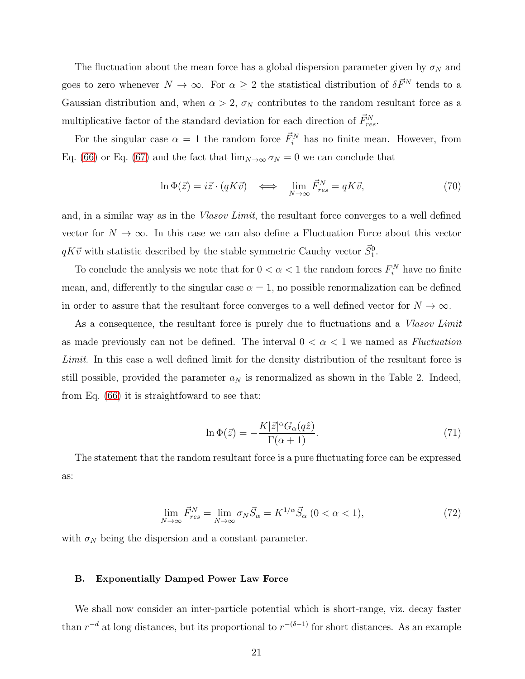The fluctuation about the mean force has a global dispersion parameter given by  $\sigma_N$  and goes to zero whenever  $N \to \infty$ . For  $\alpha \geq 2$  the statistical distribution of  $\delta \vec{F}^N$  tends to a Gaussian distribution and, when  $\alpha > 2$ ,  $\sigma_N$  contributes to the random resultant force as a multiplicative factor of the standard deviation for each direction of  $\vec{F}_{res}^{N}$ .

For the singular case  $\alpha = 1$  the random force  $\vec{F}_i^N$  has no finite mean. However, from Eq. [\(66\)](#page-18-1) or Eq. [\(67\)](#page-19-0) and the fact that  $\lim_{N\to\infty} \sigma_N = 0$  we can conclude that

$$
\ln \Phi(\vec{z}) = i\vec{z} \cdot (qK\vec{v}) \quad \Longleftrightarrow \quad \lim_{N \to \infty} \vec{F}_{res}^N = qK\vec{v},\tag{70}
$$

and, in a similar way as in the *Vlasov Limit*, the resultant force converges to a well defined vector for  $N \to \infty$ . In this case we can also define a Fluctuation Force about this vector  $qK\vec{v}$  with statistic described by the stable symmetric Cauchy vector  $\vec{S}_1^0$ .

To conclude the analysis we note that for  $0 < \alpha < 1$  the random forces  $F_i^N$  have no finite mean, and, differently to the singular case  $\alpha = 1$ , no possible renormalization can be defined in order to assure that the resultant force converges to a well defined vector for  $N \to \infty$ .

As a consequence, the resultant force is purely due to fluctuations and a Vlasov Limit as made previously can not be defined. The interval  $0 < \alpha < 1$  we named as *Fluctuation* Limit. In this case a well defined limit for the density distribution of the resultant force is still possible, provided the parameter  $a_N$  is renormalized as shown in the Table 2. Indeed, from Eq. [\(66\)](#page-18-1) it is straightfoward to see that:

$$
\ln \Phi(\vec{z}) = -\frac{K|\vec{z}|^\alpha G_\alpha(q\hat{z})}{\Gamma(\alpha+1)}.\tag{71}
$$

The statement that the random resultant force is a pure fluctuating force can be expressed as:

$$
\lim_{N \to \infty} \vec{F}_{res}^N = \lim_{N \to \infty} \sigma_N \vec{S}_{\alpha} = K^{1/\alpha} \vec{S}_{\alpha} \ (0 < \alpha < 1),\tag{72}
$$

with  $\sigma_N$  being the dispersion and a constant parameter.

#### B. Exponentially Damped Power Law Force

We shall now consider an inter-particle potential which is short-range, viz. decay faster than  $r^{-d}$  at long distances, but its proportional to  $r^{-(\delta-1)}$  for short distances. As an example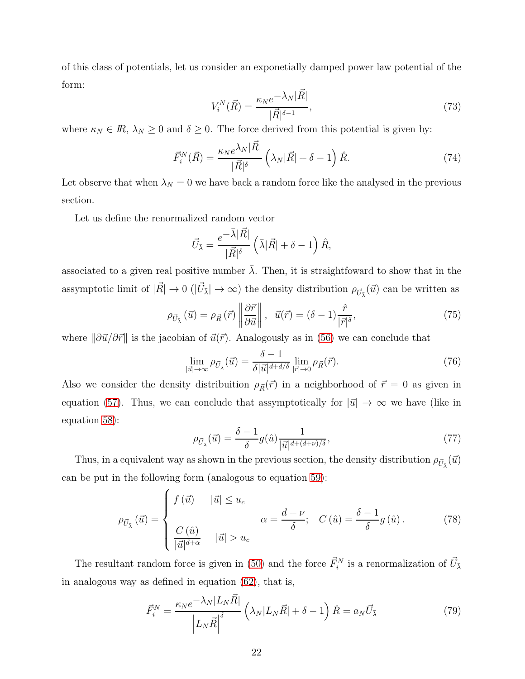of this class of potentials, let us consider an exponetially damped power law potential of the form:

$$
V_i^N(\vec{R}) = \frac{\kappa_N e^{-\lambda_N |\vec{R}|}}{|\vec{R}|^{\delta - 1}},\tag{73}
$$

where  $\kappa_N \in \mathbb{R}, \lambda_N \geq 0$  and  $\delta \geq 0$ . The force derived from this potential is given by:

<span id="page-21-0"></span>
$$
\vec{F}_i^N(\vec{R}) = \frac{\kappa_N e^{\lambda_N |\vec{R}|}}{|\vec{R}|^{\delta}} \left(\lambda_N |\vec{R}| + \delta - 1\right) \hat{R}.\tag{74}
$$

Let observe that when  $\lambda_N = 0$  we have back a random force like the analysed in the previous section.

Let us define the renormalized random vector

$$
\vec{U}_{\bar{\lambda}} = \frac{e^{-\bar{\lambda}|\vec{R}|}}{|\vec{R}|^{\delta}} \left(\bar{\lambda}|\vec{R}| + \delta - 1\right) \hat{R},
$$

associated to a given real positive number  $\bar{\lambda}$ . Then, it is straightfoward to show that in the assymptotic limit of  $|\vec{R}| \to 0$  ( $|\vec{U}_{\bar{\lambda}}| \to \infty$ ) the density distribution  $\rho_{\vec{U}_{\bar{\lambda}}}(\vec{u})$  can be written as

$$
\rho_{\vec{U}_{\bar{\lambda}}}(\vec{u}) = \rho_{\vec{R}}(\vec{r}) \left\| \frac{\partial \vec{r}}{\partial \vec{u}} \right\|, \quad \vec{u}(\vec{r}) = (\delta - 1) \frac{\hat{r}}{|\vec{r}|^{\delta}},\tag{75}
$$

where  $\|\partial \vec{u}/\partial \vec{r}\|$  is the jacobian of  $\vec{u}(\vec{r})$ . Analogously as in [\(56\)](#page-16-1) we can conclude that

$$
\lim_{|\vec{u}| \to \infty} \rho_{\vec{U}_{\bar{\lambda}}}(\vec{u}) = \frac{\delta - 1}{\delta |\vec{u}|^{d + d/\delta}} \lim_{|\vec{r}| \to 0} \rho_{\vec{R}}(\vec{r}). \tag{76}
$$

Also we consider the density distribuition  $\rho_{\vec{R}}(\vec{r})$  in a neighborhood of  $\vec{r} = 0$  as given in equation [\(57\)](#page-16-2). Thus, we can conclude that assymptotically for  $|\vec{u}| \to \infty$  we have (like in equation [58\)](#page-16-3):

$$
\rho_{\vec{U}_{\bar{\lambda}}}(\vec{u}) = \frac{\delta - 1}{\delta} g(\hat{u}) \frac{1}{|\vec{u}|^{d + (d+\nu)/\delta}},\tag{77}
$$

Thus, in a equivalent way as shown in the previous section, the density distribution  $\rho_{\vec{U}_{\bar{\lambda}}}(\vec{u})$ can be put in the following form (analogous to equation [59\)](#page-16-0):

$$
\rho_{\vec{U}_{\vec{\lambda}}}(\vec{u}) = \begin{cases} f(\vec{u}) & |\vec{u}| \le u_c \\ C(\hat{u}) & \alpha = \frac{d+\nu}{\delta}; \quad C(\hat{u}) = \frac{\delta-1}{\delta}g(\hat{u}). \end{cases}
$$
(78)

The resultant random force is given in [\(50\)](#page-15-4) and the force  $\vec{F}_i^N$  is a renormalization of  $\vec{U}_{\bar{\lambda}}$ in analogous way as defined in equation [\(62\)](#page-16-4), that is,

$$
\vec{F}_i^N = \frac{\kappa_N e^{-\lambda_N |L_N \vec{R}|}}{|L_N \vec{R}|^{\delta}} \left(\lambda_N |L_N \vec{R}| + \delta - 1\right) \hat{R} = a_N \vec{U}_{\bar{\lambda}}
$$
(79)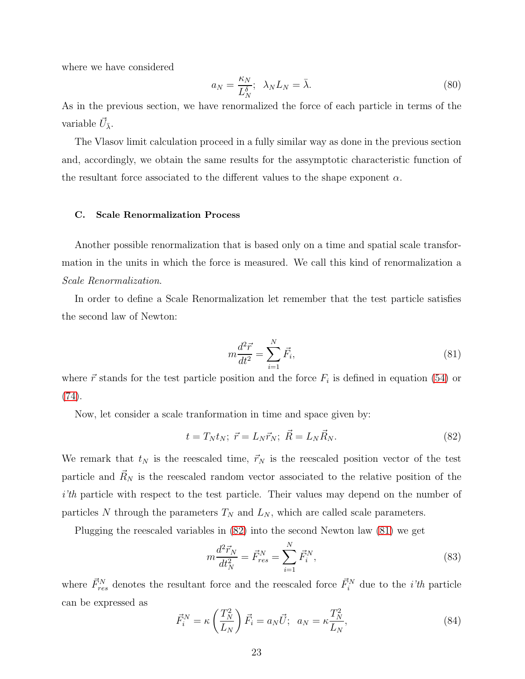where we have considered

$$
a_N = \frac{\kappa_N}{L_N^{\delta}}; \ \lambda_N L_N = \bar{\lambda}.
$$
\n(80)

As in the previous section, we have renormalized the force of each particle in terms of the variable  $\vec{U}_{\bar{\lambda}}$ .

The Vlasov limit calculation proceed in a fully similar way as done in the previous section and, accordingly, we obtain the same results for the assymptotic characteristic function of the resultant force associated to the different values to the shape exponent  $\alpha$ .

#### C. Scale Renormalization Process

Another possible renormalization that is based only on a time and spatial scale transformation in the units in which the force is measured. We call this kind of renormalization a Scale Renormalization.

In order to define a Scale Renormalization let remember that the test particle satisfies the second law of Newton:

<span id="page-22-1"></span>
$$
m\frac{d^2\vec{r}}{dt^2} = \sum_{i=1}^{N} \vec{F}_i,
$$
\n(81)

where  $\vec{r}$  stands for the test particle position and the force  $F_i$  is defined in equation [\(54\)](#page-15-1) or [\(74\)](#page-21-0).

Now, let consider a scale tranformation in time and space given by:

<span id="page-22-0"></span>
$$
t = T_N t_N; \quad \vec{r} = L_N \vec{r}_N; \quad \vec{R} = L_N \vec{R}_N. \tag{82}
$$

We remark that  $t_N$  is the reescaled time,  $\vec{r}_N$  is the reescaled position vector of the test particle and  $\vec{R}_N$  is the reescaled random vector associated to the relative position of the i'th particle with respect to the test particle. Their values may depend on the number of particles N through the parameters  $T_N$  and  $L_N$ , which are called scale parameters.

Plugging the reescaled variables in [\(82\)](#page-22-0) into the second Newton law [\(81\)](#page-22-1) we get

$$
m\frac{d^2\vec{r}_N}{dt_N^2} = \vec{F}_{res}^N = \sum_{i=1}^N \vec{F}_i^N,
$$
\n(83)

where  $\vec{F}_{res}^{N}$  denotes the resultant force and the reescaled force  $\vec{F}_{i}^{N}$  due to the *i'th* particle can be expressed as

<span id="page-22-2"></span>
$$
\vec{F}_i^N = \kappa \left(\frac{T_N^2}{L_N}\right) \vec{F}_i = a_N \vec{U}; \ \ a_N = \kappa \frac{T_N^2}{L_N},\tag{84}
$$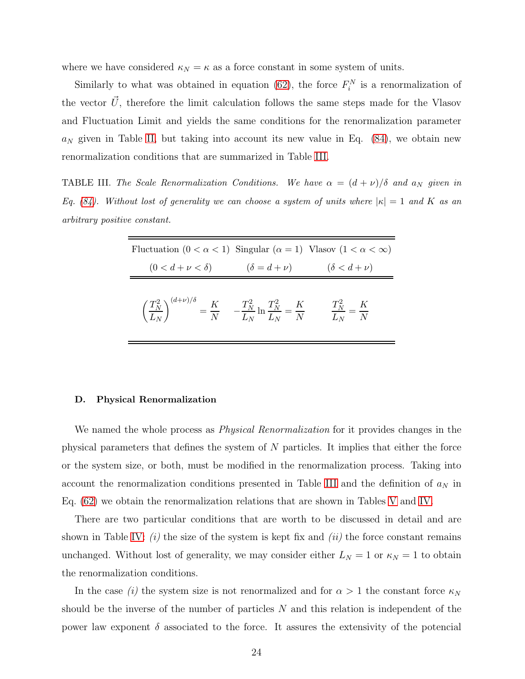where we have considered  $\kappa_N = \kappa$  as a force constant in some system of units.

Similarly to what was obtained in equation [\(62\)](#page-16-4), the force  $F_i^N$  is a renormalization of the vector  $\vec{U}$ , therefore the limit calculation follows the same steps made for the Vlasov and Fluctuation Limit and yields the same conditions for the renormalization parameter  $a_N$  given in Table [II,](#page-18-0) but taking into account its new value in Eq. [\(84\)](#page-22-2), we obtain new renormalization conditions that are summarized in Table [III.](#page-23-0)

**TABLE III.** The Scale Renormalization Conditions. We have  $\alpha = (d + \nu)/\delta$  and  $a_N$  given in *Eq.* [\(84\)](#page-22-2). Without lost of generality we can choose a system of units where  $|\kappa| = 1$  and K as an *arbitrary positive constant.*

<span id="page-23-0"></span>

| Fluctuation $(0 < \alpha < 1)$ Singular $(\alpha = 1)$ Vlasov $(1 < \alpha < \infty)$                                                                    |  |
|----------------------------------------------------------------------------------------------------------------------------------------------------------|--|
| $(0 < d + \nu < \delta)$ $(\delta = d + \nu)$ $(\delta < d + \nu)$                                                                                       |  |
| $\left(\frac{T_N^2}{L_N}\right)^{(d+\nu)/\delta} = \frac{K}{N}$ $-\frac{T_N^2}{L_N}\ln\frac{T_N^2}{L_N} = \frac{K}{N}$ $\frac{T_N^2}{L_N} = \frac{K}{N}$ |  |

#### D. Physical Renormalization

We named the whole process as *Physical Renormalization* for it provides changes in the physical parameters that defines the system of N particles. It implies that either the force or the system size, or both, must be modified in the renormalization process. Taking into account the renormalization conditions presented in Table [III](#page-23-0) and the definition of  $a_N$  in Eq. [\(62\)](#page-16-4) we obtain the renormalization relations that are shown in Tables [V](#page-28-0) and [IV.](#page-24-0)

There are two particular conditions that are worth to be discussed in detail and are shown in Table [IV:](#page-24-0)  $(i)$  the size of the system is kept fix and  $(ii)$  the force constant remains unchanged. Without lost of generality, we may consider either  $L_N = 1$  or  $\kappa_N = 1$  to obtain the renormalization conditions.

In the case (i) the system size is not renormalized and for  $\alpha > 1$  the constant force  $\kappa_N$ should be the inverse of the number of particles  $N$  and this relation is independent of the power law exponent  $\delta$  associated to the force. It assures the extensivity of the potencial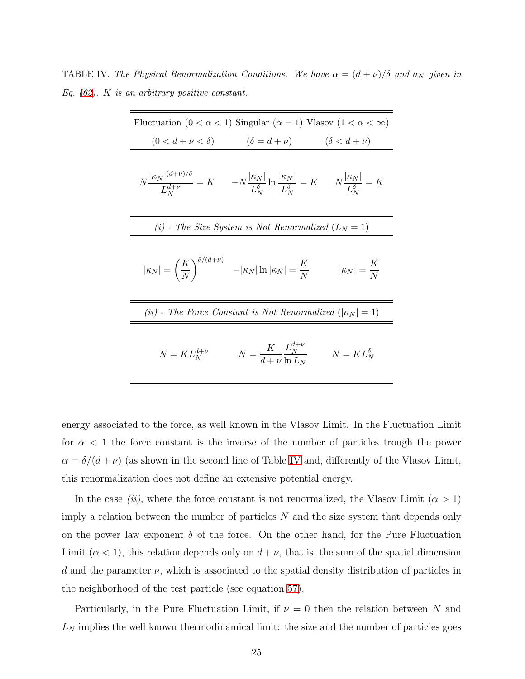**TABLE IV.** The Physical Renormalization Conditions. We have  $\alpha = (d + \nu)/\delta$  and  $a_N$  given in *Eq. [\(62\)](#page-16-4).* K *is an arbitrary positive constant.*

<span id="page-24-0"></span>

| Fluctuation $(0 < \alpha < 1)$ Singular $(\alpha = 1)$ Vlasov $(1 < \alpha < \infty)$ |                                                                                                                                                                                                                                                                 |                     |  |  |
|---------------------------------------------------------------------------------------|-----------------------------------------------------------------------------------------------------------------------------------------------------------------------------------------------------------------------------------------------------------------|---------------------|--|--|
|                                                                                       | $(0 < d + \nu < \delta)$ $(\delta = d + \nu)$ $(\delta < d + \nu)$                                                                                                                                                                                              |                     |  |  |
|                                                                                       | $N\frac{ \kappa_N ^{(d+\nu)/\delta}}{L_{\scriptscriptstyle N}^{d+\nu}}=K \qquad -N\frac{ \kappa_N }{L_{\scriptscriptstyle N}^{\delta}}\ln\frac{ \kappa_N }{L_{\scriptscriptstyle N}^{\delta}}=K \qquad N\frac{ \kappa_N }{L_{\scriptscriptstyle N}^{\delta}}=K$ |                     |  |  |
| (i) - The Size System is Not Renormalized $(L_N = 1)$                                 |                                                                                                                                                                                                                                                                 |                     |  |  |
|                                                                                       | $ \kappa_N  = \left(\frac{K}{N}\right)^{\delta/(d+\nu)} \quad - \kappa_N  \ln  \kappa_N  = \frac{K}{N} \qquad \quad  \kappa_N  = \frac{K}{N}$                                                                                                                   |                     |  |  |
| (ii) - The Force Constant is Not Renormalized ( $ \kappa_N =1$ )                      |                                                                                                                                                                                                                                                                 |                     |  |  |
| $N = KL_N^{d+\nu}$                                                                    | $N = \frac{K}{d + \nu} \frac{L_N^{a + \nu}}{\ln L}$                                                                                                                                                                                                             | $N = KL_N^{\delta}$ |  |  |

energy associated to the force, as well known in the Vlasov Limit. In the Fluctuation Limit for  $\alpha$  < 1 the force constant is the inverse of the number of particles trough the power  $\alpha = \delta/(d+\nu)$  (as shown in the second line of Table [IV](#page-24-0) and, differently of the Vlasov Limit, this renormalization does not define an extensive potential energy.

In the case *(ii)*, where the force constant is not renormalized, the Vlasov Limit  $(\alpha > 1)$ imply a relation between the number of particles N and the size system that depends only on the power law exponent  $\delta$  of the force. On the other hand, for the Pure Fluctuation Limit  $(\alpha < 1)$ , this relation depends only on  $d + \nu$ , that is, the sum of the spatial dimension d and the parameter  $\nu$ , which is associated to the spatial density distribution of particles in the neighborhood of the test particle (see equation [57\)](#page-16-2).

Particularly, in the Pure Fluctuation Limit, if  $\nu = 0$  then the relation between N and  $L<sub>N</sub>$  implies the well known thermodinamical limit: the size and the number of particles goes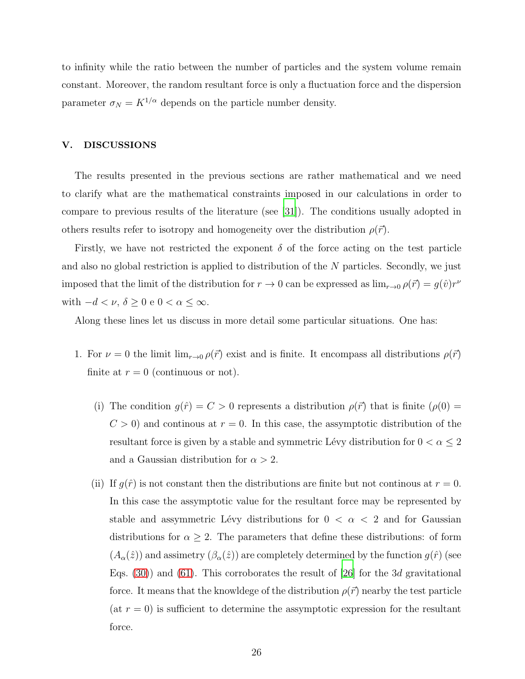to infinity while the ratio between the number of particles and the system volume remain constant. Moreover, the random resultant force is only a fluctuation force and the dispersion parameter  $\sigma_N = K^{1/\alpha}$  depends on the particle number density.

#### <span id="page-25-0"></span>V. DISCUSSIONS

The results presented in the previous sections are rather mathematical and we need to clarify what are the mathematical constraints imposed in our calculations in order to compare to previous results of the literature (see [\[31\]](#page-36-10)). The conditions usually adopted in others results refer to isotropy and homogeneity over the distribution  $\rho(\vec{r})$ .

Firstly, we have not restricted the exponent  $\delta$  of the force acting on the test particle and also no global restriction is applied to distribution of the  $N$  particles. Secondly, we just imposed that the limit of the distribution for  $r \to 0$  can be expressed as  $\lim_{r\to 0} \rho(\vec{r}) = g(\hat{v})r^{\nu}$ with  $-d < \nu$ ,  $\delta \geq 0$  e  $0 < \alpha \leq \infty$ .

Along these lines let us discuss in more detail some particular situations. One has:

- 1. For  $\nu = 0$  the limit  $\lim_{r\to 0} \rho(\vec{r})$  exist and is finite. It encompass all distributions  $\rho(\vec{r})$ finite at  $r = 0$  (continuous or not).
	- (i) The condition  $g(\hat{r}) = C > 0$  represents a distribution  $\rho(\vec{r})$  that is finite  $(\rho(0) =$  $C > 0$ ) and continous at  $r = 0$ . In this case, the assymptotic distribution of the resultant force is given by a stable and symmetric Lévy distribution for  $0 < \alpha \leq 2$ and a Gaussian distribution for  $\alpha > 2$ .
	- (ii) If  $g(\hat{r})$  is not constant then the distributions are finite but not continous at  $r = 0$ . In this case the assymptotic value for the resultant force may be represented by stable and assymmetric Lévy distributions for  $0 < \alpha < 2$  and for Gaussian distributions for  $\alpha \geq 2$ . The parameters that define these distributions: of form  $(A_{\alpha}(\hat{z}))$  and assimetry  $(\beta_{\alpha}(\hat{z}))$  are completely determined by the function  $g(\hat{r})$  (see Eqs.  $(30)$  and  $(61)$ . This corroborates the result of [\[26\]](#page-36-5) for the 3d gravitational force. It means that the knowldege of the distribution  $\rho(\vec{r})$  nearby the test particle (at  $r = 0$ ) is sufficient to determine the assymptotic expression for the resultant force.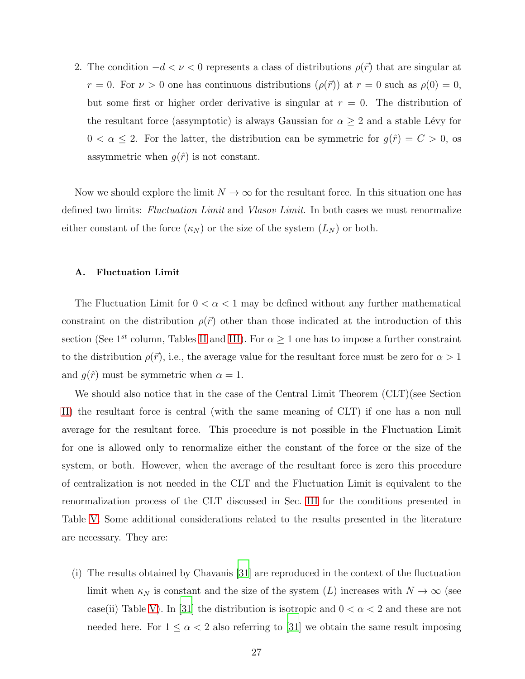2. The condition  $-d < \nu < 0$  represents a class of distributions  $\rho(\vec{r})$  that are singular at  $r = 0$ . For  $\nu > 0$  one has continuous distributions  $(\rho(\vec{r}))$  at  $r = 0$  such as  $\rho(0) = 0$ , but some first or higher order derivative is singular at  $r = 0$ . The distribution of the resultant force (assymptotic) is always Gaussian for  $\alpha \geq 2$  and a stable Lévy for  $0 < \alpha \leq 2$ . For the latter, the distribution can be symmetric for  $g(\hat{r}) = C > 0$ , os assymmetric when  $g(\hat{r})$  is not constant.

Now we should explore the limit  $N \to \infty$  for the resultant force. In this situation one has defined two limits: Fluctuation Limit and Vlasov Limit. In both cases we must renormalize either constant of the force  $(\kappa_N)$  or the size of the system  $(L_N)$  or both.

#### A. Fluctuation Limit

The Fluctuation Limit for  $0 < \alpha < 1$  may be defined without any further mathematical constraint on the distribution  $\rho(\vec{r})$  other than those indicated at the introduction of this section (See 1<sup>st</sup> column, Tables [II](#page-18-0) and [III\)](#page-23-0). For  $\alpha \geq 1$  one has to impose a further constraint to the distribution  $\rho(\vec{r})$ , i.e., the average value for the resultant force must be zero for  $\alpha > 1$ and  $g(\hat{r})$  must be symmetric when  $\alpha = 1$ .

We should also notice that in the case of the Central Limit Theorem (CLT)(see Section [II\)](#page-3-0) the resultant force is central (with the same meaning of CLT) if one has a non null average for the resultant force. This procedure is not possible in the Fluctuation Limit for one is allowed only to renormalize either the constant of the force or the size of the system, or both. However, when the average of the resultant force is zero this procedure of centralization is not needed in the CLT and the Fluctuation Limit is equivalent to the renormalization process of the CLT discussed in Sec. [III](#page-10-0) for the conditions presented in Table [V.](#page-28-0) Some additional considerations related to the results presented in the literature are necessary. They are:

(i) The results obtained by Chavanis [\[31](#page-36-10)] are reproduced in the context of the fluctuation limit when  $\kappa_N$  is constant and the size of the system (L) increases with  $N \to \infty$  (see case(ii) Table [V\)](#page-28-0). In [\[31\]](#page-36-10) the distribution is isotropic and  $0 < \alpha < 2$  and these are not needed here. For  $1 \leq \alpha < 2$  also referring to [\[31\]](#page-36-10) we obtain the same result imposing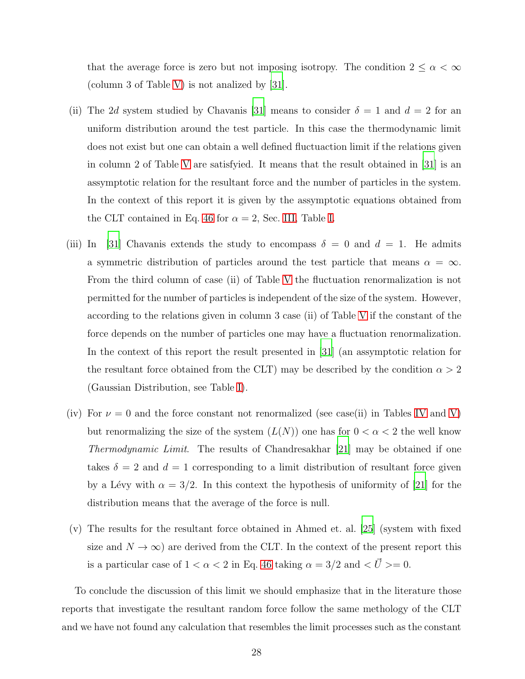that the average force is zero but not imposing isotropy. The condition  $2\leq \alpha <\infty$ (column 3 of Table [V\)](#page-28-0) is not analized by [\[31](#page-36-10)].

- (ii) The 2d system studied by Chavanis [\[31\]](#page-36-10) means to consider  $\delta = 1$  and  $d = 2$  for an uniform distribution around the test particle. In this case the thermodynamic limit does not exist but one can obtain a well defined fluctuaction limit if the relations given in column 2 of Table [V](#page-28-0) are satisfyied. It means that the result obtained in [\[31\]](#page-36-10) is an assymptotic relation for the resultant force and the number of particles in the system. In the context of this report it is given by the assymptotic equations obtained from the CLT contained in Eq. [46](#page-11-2) for  $\alpha = 2$ , Sec. [III,](#page-10-0) Table [I.](#page-12-0)
- (iii) In [\[31\]](#page-36-10) Chavanis extends the study to encompass  $\delta = 0$  and  $d = 1$ . He admits a symmetric distribution of particles around the test particle that means  $\alpha = \infty$ . From the third column of case (ii) of Table [V](#page-28-0) the fluctuation renormalization is not permitted for the number of particles is independent of the size of the system. However, according to the relations given in column 3 case (ii) of Table [V](#page-28-0) if the constant of the force depends on the number of particles one may have a fluctuation renormalization. In the context of this report the result presented in [\[31](#page-36-10)] (an assymptotic relation for the resultant force obtained from the CLT) may be described by the condition  $\alpha > 2$ (Gaussian Distribution, see Table [I\)](#page-12-0).
- (iv) For  $\nu = 0$  and the force constant not renormalized (see case(ii) in Tables [IV](#page-24-0) and [V\)](#page-28-0) but renormalizing the size of the system  $(L(N))$  one has for  $0 < \alpha < 2$  the well know Thermodynamic Limit. The results of Chandresakhar [\[21](#page-36-0)] may be obtained if one takes  $\delta = 2$  and  $d = 1$  corresponding to a limit distribution of resultant force given by a Lévy with  $\alpha = 3/2$ . In this context the hypothesis of uniformity of [\[21](#page-36-0)] for the distribution means that the average of the force is null.
- (v) The results for the resultant force obtained in Ahmed et. al. [\[25](#page-36-4)] (system with fixed size and  $N \to \infty$ ) are derived from the CLT. In the context of the present report this is a particular case of  $1 < \alpha < 2$  in Eq. [46](#page-11-2) taking  $\alpha = 3/2$  and  $\langle \vec{U} \rangle = 0$ .

To conclude the discussion of this limit we should emphasize that in the literature those reports that investigate the resultant random force follow the same methology of the CLT and we have not found any calculation that resembles the limit processes such as the constant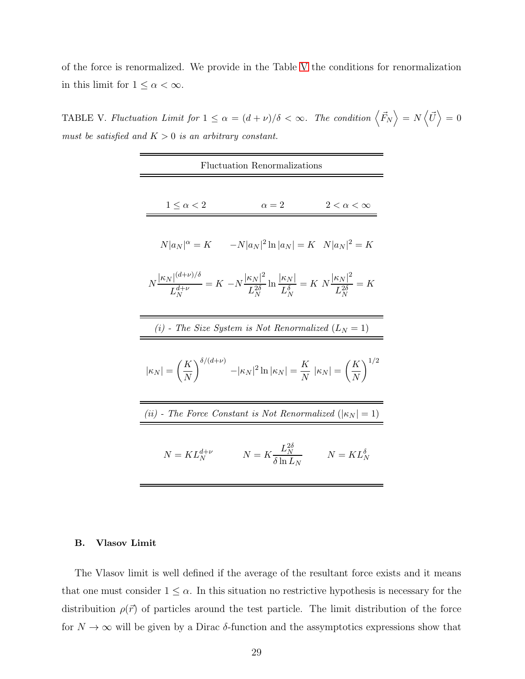of the force is renormalized. We provide in the Table [V](#page-28-0) the conditions for renormalization in this limit for  $1 \leq \alpha < \infty$ .

TABLE V. *Fluctuation Limit for*  $1 \leq \alpha = (d + \nu)/\delta < \infty$ . The condition  $\langle \vec{F}_N \rangle = N \langle \vec{U} \rangle = 0$ *must be satisfied and* K > 0 *is an arbitrary constant.*

<span id="page-28-0"></span>

| <b>Fluctuation Renormalizations</b>                                                                                                                                   |                                               |                       |  |  |
|-----------------------------------------------------------------------------------------------------------------------------------------------------------------------|-----------------------------------------------|-----------------------|--|--|
| $1 \leq \alpha < 2$                                                                                                                                                   | $\alpha=2$                                    | $2 < \alpha < \infty$ |  |  |
| $N a_N ^{\alpha} = K$ $-N a_N ^2 \ln  a_N  = K$ $N a_N ^2 = K$                                                                                                        |                                               |                       |  |  |
| $N\frac{ \kappa_N ^{(d+\nu)/\delta}}{L_N^{d+\nu}}=K\ -N\frac{ \kappa_N ^2}{L_N^{2\delta}}\ln\frac{ \kappa_N }{L_N^{\delta}}=K\ N\frac{ \kappa_N ^2}{L_N^{2\delta}}=K$ |                                               |                       |  |  |
| (i) - The Size System is Not Renormalized $(L_N = 1)$                                                                                                                 |                                               |                       |  |  |
| $ \kappa_N  = \left(\frac{K}{N}\right)^{\delta/(d+\nu)} -  \kappa_N ^2 \ln  \kappa_N  = \frac{K}{N}  \kappa_N  = \left(\frac{K}{N}\right)^{1/2}$                      |                                               |                       |  |  |
| (ii) - The Force Constant is Not Renormalized ( $ \kappa_N =1$ )                                                                                                      |                                               |                       |  |  |
| $N = KL_N^{d+\nu}$                                                                                                                                                    | $N = K \frac{L_N^{2\delta}}{\delta \ln{L_N}}$ | $N = KL_N^{\delta}$   |  |  |

#### B. Vlasov Limit

The Vlasov limit is well defined if the average of the resultant force exists and it means that one must consider  $1 \leq \alpha$ . In this situation no restrictive hypothesis is necessary for the distribuition  $\rho(\vec{r})$  of particles around the test particle. The limit distribution of the force for  $N\to\infty$  will be given by a Dirac  $\delta\text{-function}$  and the assymptotics expressions show that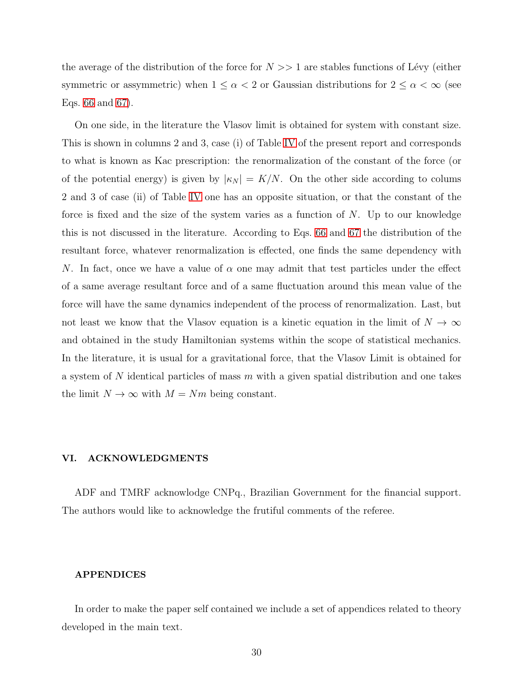the average of the distribution of the force for  $N >> 1$  are stables functions of Lévy (either symmetric or assymmetric) when  $1 \leq \alpha < 2$  or Gaussian distributions for  $2 \leq \alpha < \infty$  (see Eqs. [66](#page-18-1) and [67\)](#page-19-0).

On one side, in the literature the Vlasov limit is obtained for system with constant size. This is shown in columns 2 and 3, case (i) of Table [IV](#page-24-0) of the present report and corresponds to what is known as Kac prescription: the renormalization of the constant of the force (or of the potential energy) is given by  $|\kappa_N| = K/N$ . On the other side according to colums 2 and 3 of case (ii) of Table [IV](#page-24-0) one has an opposite situation, or that the constant of the force is fixed and the size of the system varies as a function of  $N$ . Up to our knowledge this is not discussed in the literature. According to Eqs. [66](#page-18-1) and [67](#page-19-0) the distribution of the resultant force, whatever renormalization is effected, one finds the same dependency with N. In fact, once we have a value of  $\alpha$  one may admit that test particles under the effect of a same average resultant force and of a same fluctuation around this mean value of the force will have the same dynamics independent of the process of renormalization. Last, but not least we know that the Vlasov equation is a kinetic equation in the limit of  $N \to \infty$ and obtained in the study Hamiltonian systems within the scope of statistical mechanics. In the literature, it is usual for a gravitational force, that the Vlasov Limit is obtained for a system of  $N$  identical particles of mass  $m$  with a given spatial distribution and one takes the limit  $N \to \infty$  with  $M = Nm$  being constant.

#### VI. ACKNOWLEDGMENTS

ADF and TMRF acknowlodge CNPq., Brazilian Government for the financial support. The authors would like to acknowledge the frutiful comments of the referee.

#### APPENDICES

In order to make the paper self contained we include a set of appendices related to theory developed in the main text.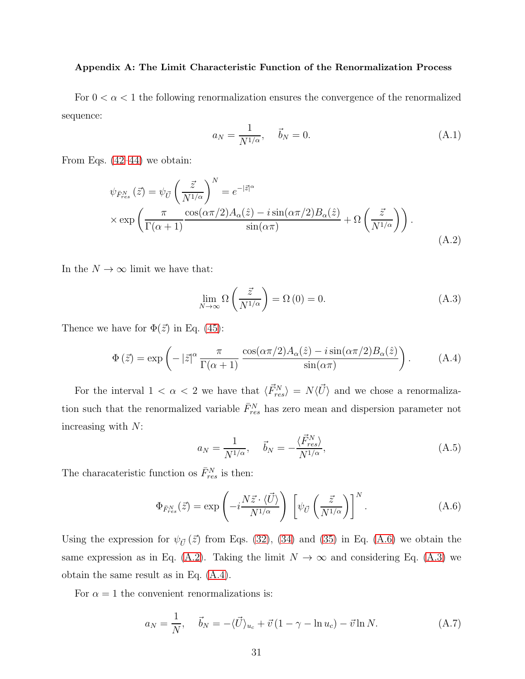#### <span id="page-30-0"></span>Appendix A: The Limit Characteristic Function of the Renormalization Process

For  $0 < \alpha < 1$  the following renormalization ensures the convergence of the renormalized sequence:

$$
a_N = \frac{1}{N^{1/\alpha}}, \quad \vec{b}_N = 0.
$$
 (A.1)

From Eqs. [\(42–](#page-11-4)[44\)](#page-11-0) we obtain:

<span id="page-30-2"></span>
$$
\psi_{\bar{F}_{res}}(\vec{z}) = \psi_{\vec{U}} \left(\frac{\vec{z}}{N^{1/\alpha}}\right)^N = e^{-|\vec{z}|^\alpha}
$$

$$
\times \exp\left(\frac{\pi}{\Gamma(\alpha+1)} \frac{\cos(\alpha \pi/2) A_\alpha(\hat{z}) - i \sin(\alpha \pi/2) B_\alpha(\hat{z})}{\sin(\alpha \pi)} + \Omega\left(\frac{\vec{z}}{N^{1/\alpha}}\right)\right).
$$
(A.2)

In the  $N \to \infty$  limit we have that:

<span id="page-30-3"></span>
$$
\lim_{N \to \infty} \Omega\left(\frac{\vec{z}}{N^{1/\alpha}}\right) = \Omega(0) = 0. \tag{A.3}
$$

Thence we have for  $\Phi(\vec{z})$  in Eq. [\(45\)](#page-11-1):

<span id="page-30-4"></span>
$$
\Phi(\vec{z}) = \exp\left(-|\vec{z}|^{\alpha} \frac{\pi}{\Gamma(\alpha+1)} \frac{\cos(\alpha \pi/2) A_{\alpha}(\hat{z}) - i \sin(\alpha \pi/2) B_{\alpha}(\hat{z})}{\sin(\alpha \pi)}\right). \tag{A.4}
$$

For the interval  $1 < \alpha < 2$  we have that  $\langle \vec{F}_{res}^N \rangle = N \langle \vec{U} \rangle$  and we chose a renormalization such that the renormalized variable  $\bar{F}_{res}^N$  has zero mean and dispersion parameter not increasing with  $N$ :

$$
a_N = \frac{1}{N^{1/\alpha}}, \quad \vec{b}_N = -\frac{\langle \vec{F}_{res}^N \rangle}{N^{1/\alpha}}, \tag{A.5}
$$

The characateristic function os  $\bar{F}_{res}^{N}$  is then:

<span id="page-30-1"></span>
$$
\Phi_{\bar{F}_{res}^N}(\vec{z}) = \exp\left(-i\frac{N\vec{z}\cdot\langle\vec{U}\rangle}{N^{1/\alpha}}\right) \left[\psi_{\vec{U}}\left(\frac{\vec{z}}{N^{1/\alpha}}\right)\right]^N.
$$
\n(A.6)

Using the expression for  $\psi_{\vec{U}}(\vec{z})$  from Eqs. [\(32\)](#page-9-1), [\(34\)](#page-9-4) and [\(35\)](#page-10-2) in Eq. [\(A.6\)](#page-30-1) we obtain the same expression as in Eq. [\(A.2\)](#page-30-2). Taking the limit  $N \to \infty$  and considering Eq. [\(A.3\)](#page-30-3) we obtain the same result as in Eq. [\(A.4\)](#page-30-4).

For  $\alpha = 1$  the convenient renormalizations is:

$$
a_N = \frac{1}{N}, \quad \vec{b}_N = -\langle \vec{U} \rangle_{u_c} + \vec{v} (1 - \gamma - \ln u_c) - \vec{v} \ln N. \tag{A.7}
$$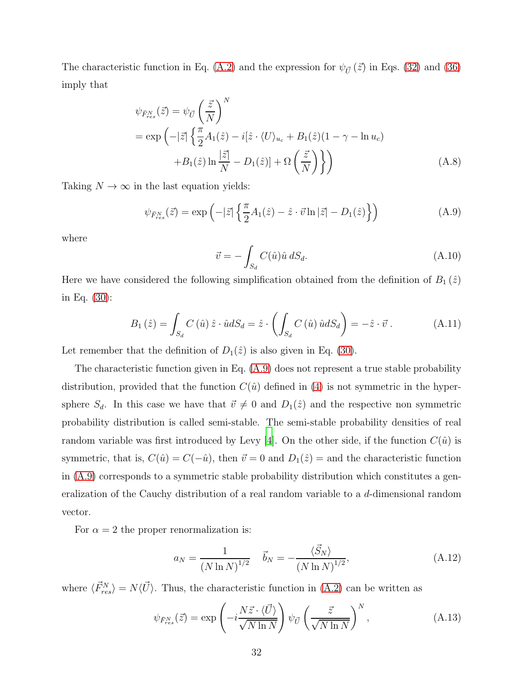The characteristic function in Eq. [\(A.2\)](#page-30-2) and the expression for  $\psi_{\vec{U}}(\vec{z})$  in Eqs. [\(32\)](#page-9-1) and [\(36\)](#page-10-3) imply that

$$
\psi_{\bar{F}_{res}}(\vec{z}) = \psi_{\vec{U}} \left(\frac{\vec{z}}{N}\right)^N
$$
  
=  $\exp\left(-|\vec{z}| \left\{\frac{\pi}{2} A_1(\hat{z}) - i[\hat{z} \cdot \langle U \rangle_{u_c} + B_1(\hat{z})(1 - \gamma - \ln u_c) + B_1(\hat{z})\ln \frac{|\vec{z}|}{N} - D_1(\hat{z})\right\} \right)$  (A.8)

Taking  $N \to \infty$  in the last equation yields:

<span id="page-31-1"></span>
$$
\psi_{\bar{F}_{res}^N}(\vec{z}) = \exp\left(-|\vec{z}| \left\{\frac{\pi}{2} A_1(\hat{z}) - \hat{z} \cdot \vec{v} \ln|\vec{z}| - D_1(\hat{z})\right\}\right) \tag{A.9}
$$

where

<span id="page-31-0"></span>
$$
\vec{v} = -\int_{S_d} C(\hat{u}) \hat{u} \, dS_d. \tag{A.10}
$$

Here we have considered the following simplification obtained from the definition of  $B_1(\hat{z})$ in Eq. [\(30\)](#page-9-3):

$$
B_1(\hat{z}) = \int_{S_d} C(\hat{u}) \,\hat{z} \cdot \hat{u} dS_d = \hat{z} \cdot \left( \int_{S_d} C(\hat{u}) \,\hat{u} dS_d \right) = -\hat{z} \cdot \vec{v} \,. \tag{A.11}
$$

Let remember that the definition of  $D_1(\hat{z})$  is also given in Eq. [\(30\)](#page-9-3).

The characteristic function given in Eq. [\(A.9\)](#page-31-1) does not represent a true stable probability distribution, provided that the function  $C(\hat{u})$  defined in [\(4\)](#page-5-1) is not symmetric in the hypersphere  $S_d$ . In this case we have that  $\vec{v} \neq 0$  and  $D_1(\hat{z})$  and the respective non symmetric probability distribution is called semi-stable. The semi-stable probability densities of real random variable was first introduced by Levy [\[4](#page-34-3)]. On the other side, if the function  $C(\hat{u})$  is symmetric, that is,  $C(\hat{u}) = C(-\hat{u})$ , then  $\vec{v} = 0$  and  $D_1(\hat{z}) =$  and the characteristic function in [\(A.9\)](#page-31-1) corresponds to a symmetric stable probability distribution which constitutes a generalization of the Cauchy distribution of a real random variable to a d-dimensional random vector.

For  $\alpha = 2$  the proper renormalization is:

$$
a_N = \frac{1}{(N \ln N)^{1/2}} \quad \vec{b}_N = -\frac{\langle \vec{S}_N \rangle}{(N \ln N)^{1/2}},
$$
(A.12)

where  $\langle \vec{F}_{res}^N \rangle = N \langle \vec{U} \rangle$ . Thus, the characteristic function in [\(A.2\)](#page-30-2) can be written as

$$
\psi_{\bar{F}_{res}^N}(\vec{z}) = \exp\left(-i\frac{N\vec{z}\cdot\langle\vec{U}\rangle}{\sqrt{N\ln N}}\right)\psi_{\vec{U}}\left(\frac{\vec{z}}{\sqrt{N\ln N}}\right)^N,\tag{A.13}
$$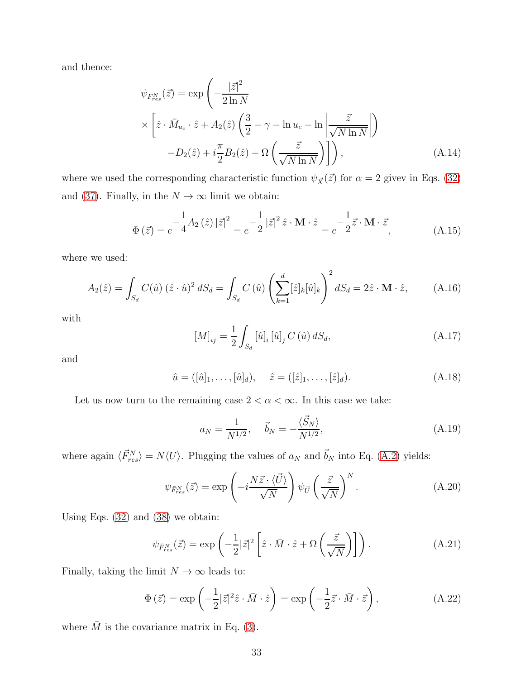and thence:

$$
\psi_{\bar{F}_{res}}(\vec{z}) = \exp\left(-\frac{|\vec{z}|^2}{2\ln N}\right)
$$

$$
\times \left[\hat{z} \cdot \bar{M}_{u_c} \cdot \hat{z} + A_2(\hat{z}) \left(\frac{3}{2} - \gamma - \ln u_c - \ln\left|\frac{\vec{z}}{\sqrt{N \ln N}}\right|\right)\right]
$$

$$
-D_2(\hat{z}) + i\frac{\pi}{2}B_2(\hat{z}) + \Omega\left(\frac{\vec{z}}{\sqrt{N \ln N}}\right)\right), \tag{A.14}
$$

where we used the corresponding characteristic function  $\psi_{\vec{X}}(\vec{z})$  for  $\alpha = 2$  givev in Eqs. [\(32\)](#page-9-1) and [\(37\)](#page-10-4). Finally, in the  $N\to\infty$  limit we obtain:

$$
\Phi\left(\vec{z}\right) = e^{-\frac{1}{4}A_2\left(\hat{z}\right)|\vec{z}|^2} = e^{-\frac{1}{2}|\vec{z}|^2\hat{z}\cdot\mathbf{M}\cdot\hat{z}} = e^{-\frac{1}{2}\vec{z}\cdot\mathbf{M}\cdot\vec{z}},\tag{A.15}
$$

where we used:

$$
A_2(\hat{z}) = \int_{S_d} C(\hat{u}) (\hat{z} \cdot \hat{u})^2 dS_d = \int_{S_d} C(\hat{u}) \left( \sum_{k=1}^d [\hat{z}]_k [\hat{u}]_k \right)^2 dS_d = 2\hat{z} \cdot \mathbf{M} \cdot \hat{z}, \quad (A.16)
$$

with

<span id="page-32-0"></span>
$$
[M]_{ij} = \frac{1}{2} \int_{S_d} [\hat{u}]_i [\hat{u}]_j C(\hat{u}) dS_d, \qquad (A.17)
$$

and

$$
\hat{u} = ([\hat{u}]_1, \dots, [\hat{u}]_d), \quad \hat{z} = ([\hat{z}]_1, \dots, [\hat{z}]_d). \tag{A.18}
$$

Let us now turn to the remaining case  $2 < \alpha < \infty$ . In this case we take:

$$
a_N = \frac{1}{N^{1/2}}, \quad \vec{b}_N = -\frac{\langle \vec{S}_N \rangle}{N^{1/2}}, \tag{A.19}
$$

where again  $\langle \vec{F}_{res}^N \rangle = N \langle U \rangle$ . Plugging the values of  $a_N$  and  $\vec{b}_N$  into Eq. [\(A.2\)](#page-30-2) yields:

$$
\psi_{\bar{F}_{res}}(\vec{z}) = \exp\left(-i\frac{N\vec{z}\cdot\langle\vec{U}\rangle}{\sqrt{N}}\right)\psi_{\vec{U}}\left(\frac{\vec{z}}{\sqrt{N}}\right)^N.
$$
\n(A.20)

Using Eqs. [\(32\)](#page-9-1) and [\(38\)](#page-10-1) we obtain:

$$
\psi_{\bar{F}_{res}^N}(\vec{z}) = \exp\left(-\frac{1}{2}|\vec{z}|^2 \left[\hat{z} \cdot \bar{M} \cdot \hat{z} + \Omega\left(\frac{\vec{z}}{\sqrt{N}}\right)\right]\right). \tag{A.21}
$$

Finally, taking the limit  $N\to\infty$  leads to:

$$
\Phi(\vec{z}) = \exp\left(-\frac{1}{2}|\vec{z}|^2 \hat{z} \cdot \bar{M} \cdot \hat{z}\right) = \exp\left(-\frac{1}{2}\vec{z} \cdot \bar{M} \cdot \vec{z}\right),\tag{A.22}
$$

where  $\overline{M}$  is the covariance matrix in Eq. [\(3\)](#page-4-0).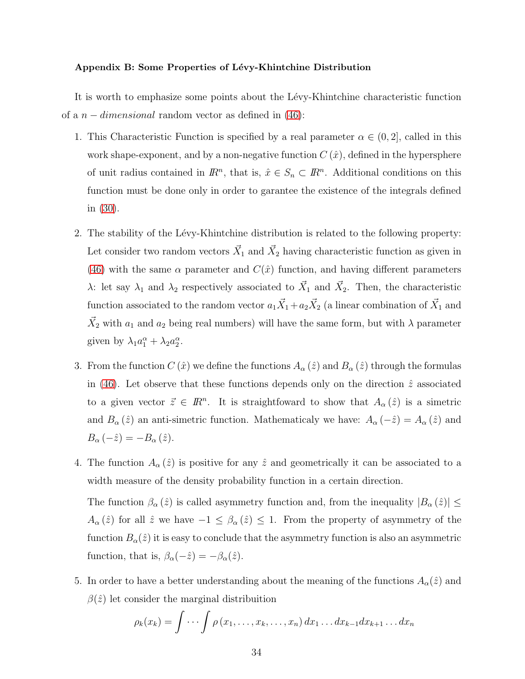#### <span id="page-33-0"></span>Appendix B: Some Properties of Lévy-Khintchine Distribution

It is worth to emphasize some points about the Lévy-Khintchine characteristic function of a  $n$  – *dimensional* random vector as defined in [\(46\)](#page-11-2):

- 1. This Characteristic Function is specified by a real parameter  $\alpha \in (0, 2]$ , called in this work shape-exponent, and by a non-negative function  $C(\hat{x})$ , defined in the hypersphere of unit radius contained in  $\mathbb{R}^n$ , that is,  $\hat{x} \in S_n \subset \mathbb{R}^n$ . Additional conditions on this function must be done only in order to garantee the existence of the integrals defined in [\(30\)](#page-9-3).
- 2. The stability of the Lévy-Khintchine distribution is related to the following property: Let consider two random vectors  $\vec{X}_1$  and  $\vec{X}_2$  having characteristic function as given in [\(46\)](#page-11-2) with the same  $\alpha$  parameter and  $C(\hat{x})$  function, and having different parameters  $\lambda$ : let say  $\lambda_1$  and  $\lambda_2$  respectively associated to  $\vec{X}_1$  and  $\vec{X}_2$ . Then, the characteristic function associated to the random vector  $a_1 \vec{X}_1 + a_2 \vec{X}_2$  (a linear combination of  $\vec{X}_1$  and  $\vec{X}_2$  with  $a_1$  and  $a_2$  being real numbers) will have the same form, but with  $\lambda$  parameter given by  $\lambda_1 a_1^{\alpha} + \lambda_2 a_2^{\alpha}$ .
- 3. From the function  $C(\hat{x})$  we define the functions  $A_{\alpha}(\hat{z})$  and  $B_{\alpha}(\hat{z})$  through the formulas in [\(46\)](#page-11-2). Let observe that these functions depends only on the direction  $\hat{z}$  associated to a given vector  $\vec{z} \in \mathbb{R}^n$ . It is straightfoward to show that  $A_{\alpha}(\hat{z})$  is a simetric and  $B_{\alpha}(\hat{z})$  an anti-simetric function. Mathematicaly we have:  $A_{\alpha}(-\hat{z}) = A_{\alpha}(\hat{z})$  and  $B_{\alpha}(-\hat{z}) = -B_{\alpha}(\hat{z}).$
- 4. The function  $A_{\alpha}(\hat{z})$  is positive for any  $\hat{z}$  and geometrically it can be associated to a width measure of the density probability function in a certain direction. The function  $\beta_{\alpha}(\hat{z})$  is called asymmetry function and, from the inequality  $|B_{\alpha}(\hat{z})| \leq$  $A_{\alpha}(\hat{z})$  for all  $\hat{z}$  we have  $-1 \leq \beta_{\alpha}(\hat{z}) \leq 1$ . From the property of asymmetry of the function  $B_{\alpha}(\hat{z})$  it is easy to conclude that the asymmetry function is also an asymmetric function, that is,  $\beta_{\alpha}(-\hat{z}) = -\beta_{\alpha}(\hat{z})$ .
- 5. In order to have a better understanding about the meaning of the functions  $A_{\alpha}(\hat{z})$  and  $\beta(\hat{z})$  let consider the marginal distribuition

$$
\rho_k(x_k) = \int \cdots \int \rho(x_1, \ldots, x_k, \ldots, x_n) dx_1 \ldots dx_{k-1} dx_{k+1} \ldots dx_n
$$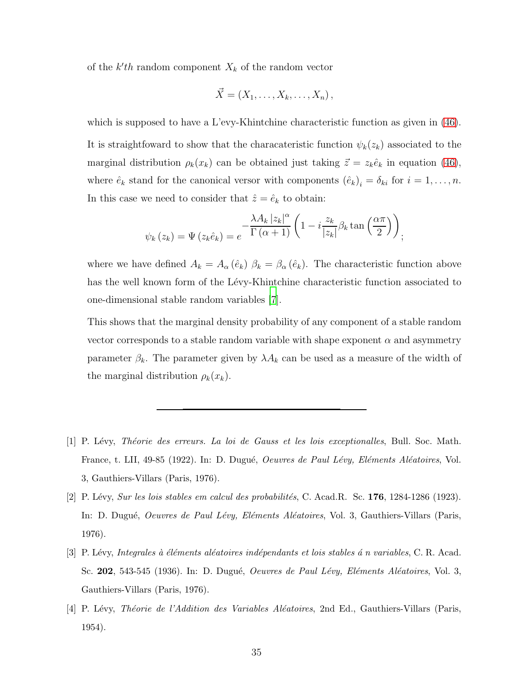of the  $k'$ th random component  $X_k$  of the random vector

$$
\vec{X} = (X_1, \ldots, X_k, \ldots, X_n),
$$

which is supposed to have a L'evy-Khintchine characteristic function as given in  $(46)$ . It is straightfoward to show that the characateristic function  $\psi_k(z_k)$  associated to the marginal distribution  $\rho_k(x_k)$  can be obtained just taking  $\vec{z} = z_k \hat{e}_k$  in equation [\(46\)](#page-11-2), where  $\hat{e}_k$  stand for the canonical versor with components  $(\hat{e}_k)_i = \delta_{ki}$  for  $i = 1, \ldots, n$ . In this case we need to consider that  $\hat{z} = \hat{e}_k$  to obtain:

$$
\psi_k(z_k) = \Psi(z_k \hat{e}_k) = e^{-\frac{\lambda A_k |z_k|^{\alpha}}{\Gamma(\alpha+1)} \left(1 - i \frac{z_k}{|z_k|} \beta_k \tan\left(\frac{\alpha \pi}{2}\right)\right)};
$$

where we have defined  $A_k = A_\alpha (\hat{e}_k) \beta_k = \beta_\alpha (\hat{e}_k)$ . The characteristic function above has the well known form of the Lévy-Khintchine characteristic function associated to one-dimensional stable random variables [\[7](#page-35-2)].

This shows that the marginal density probability of any component of a stable random vector corresponds to a stable random variable with shape exponent  $\alpha$  and asymmetry parameter  $\beta_k$ . The parameter given by  $\lambda A_k$  can be used as a measure of the width of the marginal distribution  $\rho_k(x_k)$ .

- <span id="page-34-0"></span>[1] P. L´evy, *Th´eorie des erreurs. La loi de Gauss et les lois exceptionalles*, Bull. Soc. Math. France, t. LII, 49-85 (1922). In: D. Dugué, *Oeuvres de Paul Lévy, Eléments Aléatoires*, Vol. 3, Gauthiers-Villars (Paris, 1976).
- <span id="page-34-1"></span>[2] P. L´evy, *Sur les lois stables em calcul des probabilit´es*, C. Acad.R. Sc. 176, 1284-1286 (1923). In: D. Dugué, *Oeuvres de Paul Lévy, Eléments Aléatoires*, Vol. 3, Gauthiers-Villars (Paris, 1976).
- <span id="page-34-2"></span>[3] P. L´evy, *Integrales `a ´el´ements al´eatoires ind´ependants et lois stables ´a n variables*, C. R. Acad. Sc. 202, 543-545 (1936). In: D. Dugué, *Oeuvres de Paul Lévy, Eléments Aléatoires*, Vol. 3, Gauthiers-Villars (Paris, 1976).
- <span id="page-34-3"></span>[4] P. L´evy, *Th´eorie de l'Addition des Variables Al´eatoires*, 2nd Ed., Gauthiers-Villars (Paris, 1954).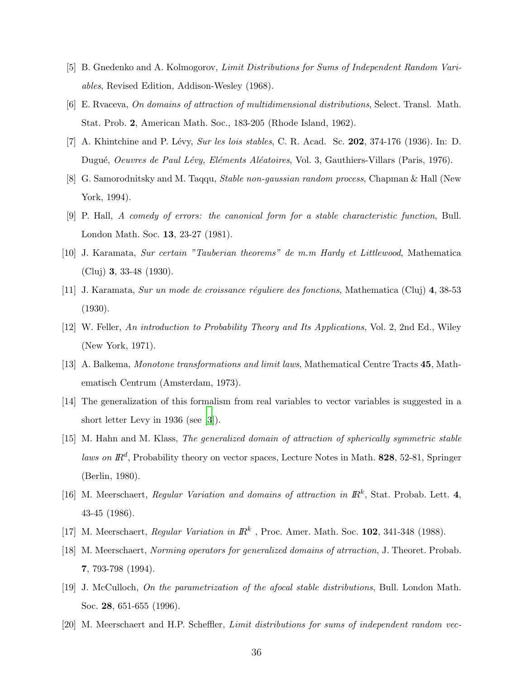- <span id="page-35-0"></span>[5] B. Gnedenko and A. Kolmogorov, *Limit Distributions for Sums of Independent Random Variables*, Revised Edition, Addison-Wesley (1968).
- <span id="page-35-1"></span>[6] E. Rvaceva, *On domains of attraction of multidimensional distributions*, Select. Transl. Math. Stat. Prob. 2, American Math. Soc., 183-205 (Rhode Island, 1962).
- <span id="page-35-2"></span>[7] A. Khintchine and P. Lévy, *Sur les lois stables*, C. R. Acad. Sc. **202**, 374-176 (1936). In: D. Dugué, *Oeuvres de Paul Lévy, Eléments Aléatoires*, Vol. 3, Gauthiers-Villars (Paris, 1976).
- <span id="page-35-3"></span>[8] G. Samorodnitsky and M. Taqqu, *Stable non-gaussian random process*, Chapman & Hall (New York, 1994).
- <span id="page-35-4"></span>[9] P. Hall, *A comedy of errors: the canonical form for a stable characteristic function*, Bull. London Math. Soc. 13, 23-27 (1981).
- <span id="page-35-6"></span>[10] J. Karamata, *Sur certain "Tauberian theorems" de m.m Hardy et Littlewood*, Mathematica (Cluj) 3, 33-48 (1930).
- <span id="page-35-7"></span>[11] J. Karamata, *Sur un mode de croissance r´eguliere des fonctions*, Mathematica (Cluj) 4, 38-53 (1930).
- <span id="page-35-8"></span>[12] W. Feller, *An introduction to Probability Theory and Its Applications*, Vol. 2, 2nd Ed., Wiley (New York, 1971).
- <span id="page-35-9"></span>[13] A. Balkema, *Monotone transformations and limit laws*, Mathematical Centre Tracts 45, Mathematisch Centrum (Amsterdam, 1973).
- <span id="page-35-12"></span>[14] The generalization of this formalism from real variables to vector variables is suggested in a short letter Levy in 1936 (see [\[3](#page-34-2)]).
- [15] M. Hahn and M. Klass, *The generalized domain of attraction of spherically symmetric stable* laws on  $\mathbb{R}^d$ , Probability theory on vector spaces, Lecture Notes in Math. 828, 52-81, Springer (Berlin, 1980).
- [16] M. Meerschaert, *Regular Variation and domains of attraction in*  $\mathbb{R}^k$ , Stat. Probab. Lett. 4, 43-45 (1986).
- [17] M. Meerschaert, *Regular Variation in*  $\mathbb{R}^k$ , Proc. Amer. Math. Soc. **102**, 341-348 (1988).
- <span id="page-35-10"></span>[18] M. Meerschaert, *Norming operators for generalized domains of atrraction*, J. Theoret. Probab. 7, 793-798 (1994).
- <span id="page-35-5"></span>[19] J. McCulloch, *On the parametrization of the afocal stable distributions*, Bull. London Math. Soc. 28, 651-655 (1996).
- <span id="page-35-11"></span>[20] M. Meerschaert and H.P. Scheffler, *Limit distributions for sums of independent random vec-*